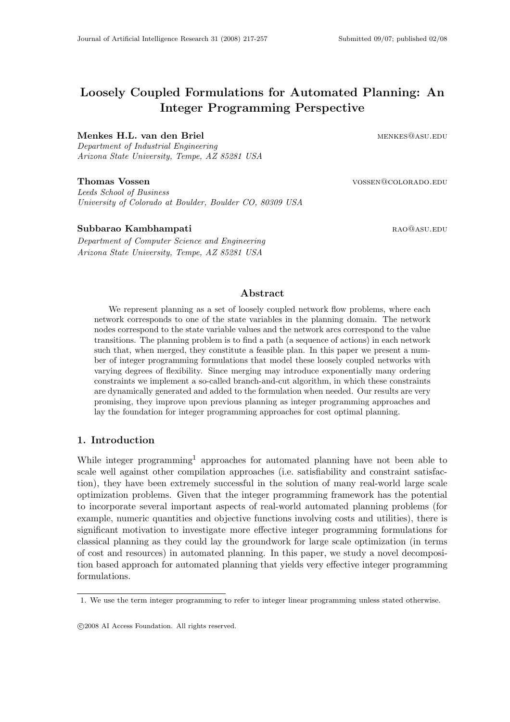# Loosely Coupled Formulations for Automated Planning: An Integer Programming Perspective

# Menkes H.L. van den Briel menkes@asu.edu

Department of Industrial Engineering Arizona State University, Tempe, AZ 85281 USA

# **Thomas Vossen 1988** vossen vossen vossen vossen vossen vossen vossen vossen vossen vossen vossen vossen vossen vossen vossen vossen vossen vossen vossen vossen vossen vossen vossen vossen vossen vossen vossen vossen vosse

Leeds School of Business University of Colorado at Boulder, Boulder CO, 80309 USA

# Subbarao Kambhampati **rao asu. A maga kalip ang mga kalawang mga kalawang mga kalip ang mga kalawang mga kalawan**

Department of Computer Science and Engineering Arizona State University, Tempe, AZ 85281 USA

# Abstract

We represent planning as a set of loosely coupled network flow problems, where each network corresponds to one of the state variables in the planning domain. The network nodes correspond to the state variable values and the network arcs correspond to the value transitions. The planning problem is to find a path (a sequence of actions) in each network such that, when merged, they constitute a feasible plan. In this paper we present a number of integer programming formulations that model these loosely coupled networks with varying degrees of flexibility. Since merging may introduce exponentially many ordering constraints we implement a so-called branch-and-cut algorithm, in which these constraints are dynamically generated and added to the formulation when needed. Our results are very promising, they improve upon previous planning as integer programming approaches and lay the foundation for integer programming approaches for cost optimal planning.

# 1. Introduction

While integer programming<sup>1</sup> approaches for automated planning have not been able to scale well against other compilation approaches (i.e. satisfiability and constraint satisfaction), they have been extremely successful in the solution of many real-world large scale optimization problems. Given that the integer programming framework has the potential to incorporate several important aspects of real-world automated planning problems (for example, numeric quantities and objective functions involving costs and utilities), there is significant motivation to investigate more effective integer programming formulations for classical planning as they could lay the groundwork for large scale optimization (in terms of cost and resources) in automated planning. In this paper, we study a novel decomposition based approach for automated planning that yields very effective integer programming formulations.

<sup>1.</sup> We use the term integer programming to refer to integer linear programming unless stated otherwise.

c 2008 AI Access Foundation. All rights reserved.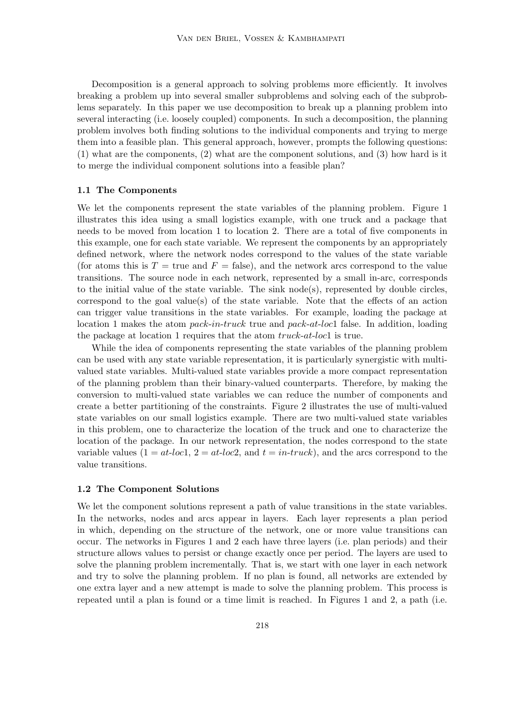Decomposition is a general approach to solving problems more efficiently. It involves breaking a problem up into several smaller subproblems and solving each of the subproblems separately. In this paper we use decomposition to break up a planning problem into several interacting (i.e. loosely coupled) components. In such a decomposition, the planning problem involves both finding solutions to the individual components and trying to merge them into a feasible plan. This general approach, however, prompts the following questions: (1) what are the components, (2) what are the component solutions, and (3) how hard is it to merge the individual component solutions into a feasible plan?

#### 1.1 The Components

We let the components represent the state variables of the planning problem. Figure 1 illustrates this idea using a small logistics example, with one truck and a package that needs to be moved from location 1 to location 2. There are a total of five components in this example, one for each state variable. We represent the components by an appropriately defined network, where the network nodes correspond to the values of the state variable (for atoms this is  $T = \text{true}$  and  $F = \text{false}$ ), and the network arcs correspond to the value transitions. The source node in each network, represented by a small in-arc, corresponds to the initial value of the state variable. The sink  $node(s)$ , represented by double circles, correspond to the goal value(s) of the state variable. Note that the effects of an action can trigger value transitions in the state variables. For example, loading the package at location 1 makes the atom pack-in-truck true and pack-at-loc1 false. In addition, loading the package at location 1 requires that the atom truck-at-loc1 is true.

While the idea of components representing the state variables of the planning problem can be used with any state variable representation, it is particularly synergistic with multivalued state variables. Multi-valued state variables provide a more compact representation of the planning problem than their binary-valued counterparts. Therefore, by making the conversion to multi-valued state variables we can reduce the number of components and create a better partitioning of the constraints. Figure 2 illustrates the use of multi-valued state variables on our small logistics example. There are two multi-valued state variables in this problem, one to characterize the location of the truck and one to characterize the location of the package. In our network representation, the nodes correspond to the state variable values  $(1 = at\text{-}loc1, 2 = at\text{-}loc2, \text{ and } t = in\text{-}truek)$ , and the arcs correspond to the value transitions.

#### 1.2 The Component Solutions

We let the component solutions represent a path of value transitions in the state variables. In the networks, nodes and arcs appear in layers. Each layer represents a plan period in which, depending on the structure of the network, one or more value transitions can occur. The networks in Figures 1 and 2 each have three layers (i.e. plan periods) and their structure allows values to persist or change exactly once per period. The layers are used to solve the planning problem incrementally. That is, we start with one layer in each network and try to solve the planning problem. If no plan is found, all networks are extended by one extra layer and a new attempt is made to solve the planning problem. This process is repeated until a plan is found or a time limit is reached. In Figures 1 and 2, a path (i.e.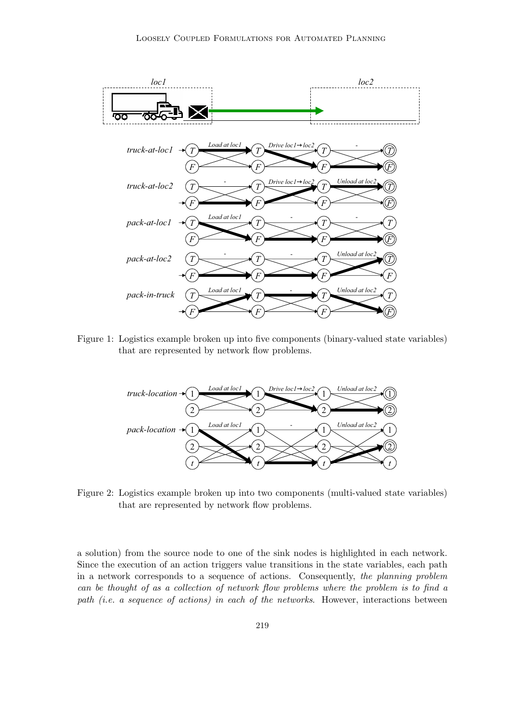

Figure 1: Logistics example broken up into five components (binary-valued state variables) that are represented by network flow problems.



Figure 2: Logistics example broken up into two components (multi-valued state variables) that are represented by network flow problems.

a solution) from the source node to one of the sink nodes is highlighted in each network. Since the execution of an action triggers value transitions in the state variables, each path in a network corresponds to a sequence of actions. Consequently, the planning problem can be thought of as a collection of network flow problems where the problem is to find a path (i.e. a sequence of actions) in each of the networks. However, interactions between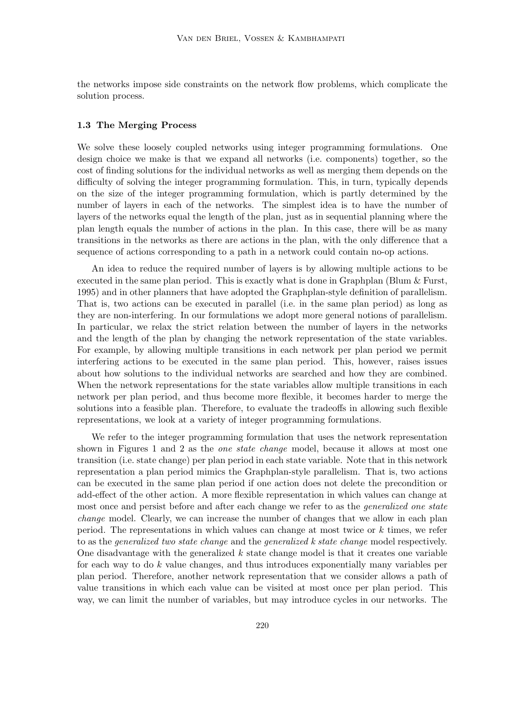the networks impose side constraints on the network flow problems, which complicate the solution process.

# 1.3 The Merging Process

We solve these loosely coupled networks using integer programming formulations. One design choice we make is that we expand all networks (i.e. components) together, so the cost of finding solutions for the individual networks as well as merging them depends on the difficulty of solving the integer programming formulation. This, in turn, typically depends on the size of the integer programming formulation, which is partly determined by the number of layers in each of the networks. The simplest idea is to have the number of layers of the networks equal the length of the plan, just as in sequential planning where the plan length equals the number of actions in the plan. In this case, there will be as many transitions in the networks as there are actions in the plan, with the only difference that a sequence of actions corresponding to a path in a network could contain no-op actions.

An idea to reduce the required number of layers is by allowing multiple actions to be executed in the same plan period. This is exactly what is done in Graphplan (Blum & Furst, 1995) and in other planners that have adopted the Graphplan-style definition of parallelism. That is, two actions can be executed in parallel (i.e. in the same plan period) as long as they are non-interfering. In our formulations we adopt more general notions of parallelism. In particular, we relax the strict relation between the number of layers in the networks and the length of the plan by changing the network representation of the state variables. For example, by allowing multiple transitions in each network per plan period we permit interfering actions to be executed in the same plan period. This, however, raises issues about how solutions to the individual networks are searched and how they are combined. When the network representations for the state variables allow multiple transitions in each network per plan period, and thus become more flexible, it becomes harder to merge the solutions into a feasible plan. Therefore, to evaluate the tradeoffs in allowing such flexible representations, we look at a variety of integer programming formulations.

We refer to the integer programming formulation that uses the network representation shown in Figures 1 and 2 as the one state change model, because it allows at most one transition (i.e. state change) per plan period in each state variable. Note that in this network representation a plan period mimics the Graphplan-style parallelism. That is, two actions can be executed in the same plan period if one action does not delete the precondition or add-effect of the other action. A more flexible representation in which values can change at most once and persist before and after each change we refer to as the *generalized one state* change model. Clearly, we can increase the number of changes that we allow in each plan period. The representations in which values can change at most twice or k times, we refer to as the *generalized two state change* and the *generalized k state change* model respectively. One disadvantage with the generalized  $k$  state change model is that it creates one variable for each way to do k value changes, and thus introduces exponentially many variables per plan period. Therefore, another network representation that we consider allows a path of value transitions in which each value can be visited at most once per plan period. This way, we can limit the number of variables, but may introduce cycles in our networks. The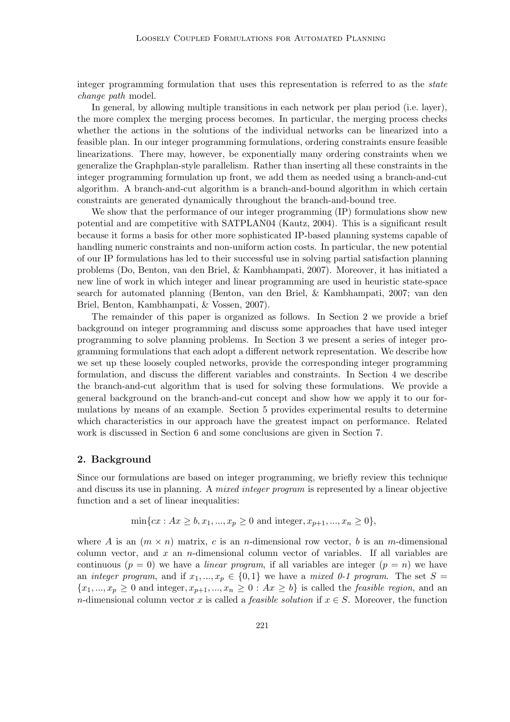integer programming formulation that uses this representation is referred to as the *state* change path model.

In general, by allowing multiple transitions in each network per plan period (i.e. layer), the more complex the merging process becomes. In particular, the merging process checks whether the actions in the solutions of the individual networks can be linearized into a feasible plan. In our integer programming formulations, ordering constraints ensure feasible linearizations. There may, however, be exponentially many ordering constraints when we generalize the Graphplan-style parallelism. Rather than inserting all these constraints in the integer programming formulation up front, we add them as needed using a branch-and-cut algorithm. A branch-and-cut algorithm is a branch-and-bound algorithm in which certain constraints are generated dynamically throughout the branch-and-bound tree.

We show that the performance of our integer programming (IP) formulations show new potential and are competitive with SATPLAN04 (Kautz, 2004). This is a significant result because it forms a basis for other more sophisticated IP-based planning systems capable of handling numeric constraints and non-uniform action costs. In particular, the new potential of our IP formulations has led to their successful use in solving partial satisfaction planning problems (Do, Benton, van den Briel, & Kambhampati, 2007). Moreover, it has initiated a new line of work in which integer and linear programming are used in heuristic state-space search for automated planning (Benton, van den Briel, & Kambhampati, 2007; van den Briel, Benton, Kambhampati, & Vossen, 2007).

The remainder of this paper is organized as follows. In Section 2 we provide a brief background on integer programming and discuss some approaches that have used integer programming to solve planning problems. In Section 3 we present a series of integer programming formulations that each adopt a different network representation. We describe how we set up these loosely coupled networks, provide the corresponding integer programming formulation, and discuss the different variables and constraints. In Section 4 we describe the branch-and-cut algorithm that is used for solving these formulations. We provide a general background on the branch-and-cut concept and show how we apply it to our formulations by means of an example. Section 5 provides experimental results to determine which characteristics in our approach have the greatest impact on performance. Related work is discussed in Section 6 and some conclusions are given in Section 7.

# 2. Background

Since our formulations are based on integer programming, we briefly review this technique and discuss its use in planning. A *mixed integer program* is represented by a linear objective function and a set of linear inequalities:

$$
\min\{cx : Ax \ge b, x_1, ..., x_p \ge 0 \text{ and integer}, x_{p+1}, ..., x_n \ge 0\},\
$$

where A is an  $(m \times n)$  matrix, c is an n-dimensional row vector, b is an m-dimensional column vector, and x an n-dimensional column vector of variables. If all variables are continuous  $(p = 0)$  we have a *linear program*, if all variables are integer  $(p = n)$  we have an integer program, and if  $x_1, ..., x_p \in \{0,1\}$  we have a mixed 0-1 program. The set  $S =$  ${x_1,...,x_p \geq 0}$  and integer,  $x_{p+1},...,x_n \geq 0$ :  $Ax \geq b$  is called the *feasible region*, and an n-dimensional column vector x is called a *feasible solution* if  $x \in S$ . Moreover, the function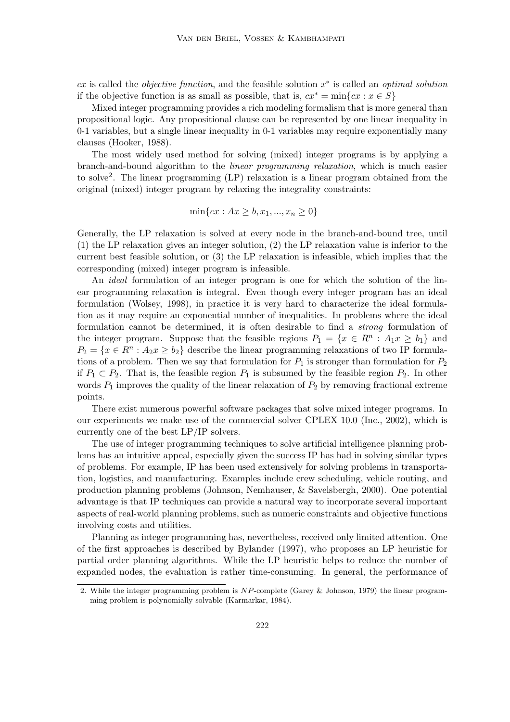cx is called the *objective function*, and the feasible solution  $x^*$  is called an *optimal solution* if the objective function is as small as possible, that is,  $cx^* = \min\{cx : x \in S\}$ 

Mixed integer programming provides a rich modeling formalism that is more general than propositional logic. Any propositional clause can be represented by one linear inequality in 0-1 variables, but a single linear inequality in 0-1 variables may require exponentially many clauses (Hooker, 1988).

The most widely used method for solving (mixed) integer programs is by applying a branch-and-bound algorithm to the linear programming relaxation, which is much easier to solve<sup>2</sup>. The linear programming (LP) relaxation is a linear program obtained from the original (mixed) integer program by relaxing the integrality constraints:

$$
\min\{cx : Ax \ge b, x_1, ..., x_n \ge 0\}
$$

Generally, the LP relaxation is solved at every node in the branch-and-bound tree, until (1) the LP relaxation gives an integer solution, (2) the LP relaxation value is inferior to the current best feasible solution, or (3) the LP relaxation is infeasible, which implies that the corresponding (mixed) integer program is infeasible.

An ideal formulation of an integer program is one for which the solution of the linear programming relaxation is integral. Even though every integer program has an ideal formulation (Wolsey, 1998), in practice it is very hard to characterize the ideal formulation as it may require an exponential number of inequalities. In problems where the ideal formulation cannot be determined, it is often desirable to find a strong formulation of the integer program. Suppose that the feasible regions  $P_1 = \{x \in \mathbb{R}^n : A_1 x \ge b_1\}$  and  $P_2 = \{x \in \mathbb{R}^n : A_2x \ge b_2\}$  describe the linear programming relaxations of two IP formulations of a problem. Then we say that formulation for  $P_1$  is stronger than formulation for  $P_2$ if  $P_1 \subset P_2$ . That is, the feasible region  $P_1$  is subsumed by the feasible region  $P_2$ . In other words  $P_1$  improves the quality of the linear relaxation of  $P_2$  by removing fractional extreme points.

There exist numerous powerful software packages that solve mixed integer programs. In our experiments we make use of the commercial solver CPLEX 10.0 (Inc., 2002), which is currently one of the best LP/IP solvers.

The use of integer programming techniques to solve artificial intelligence planning problems has an intuitive appeal, especially given the success IP has had in solving similar types of problems. For example, IP has been used extensively for solving problems in transportation, logistics, and manufacturing. Examples include crew scheduling, vehicle routing, and production planning problems (Johnson, Nemhauser, & Savelsbergh, 2000). One potential advantage is that IP techniques can provide a natural way to incorporate several important aspects of real-world planning problems, such as numeric constraints and objective functions involving costs and utilities.

Planning as integer programming has, nevertheless, received only limited attention. One of the first approaches is described by Bylander (1997), who proposes an LP heuristic for partial order planning algorithms. While the LP heuristic helps to reduce the number of expanded nodes, the evaluation is rather time-consuming. In general, the performance of

<sup>2.</sup> While the integer programming problem is NP-complete (Garey & Johnson, 1979) the linear programming problem is polynomially solvable (Karmarkar, 1984).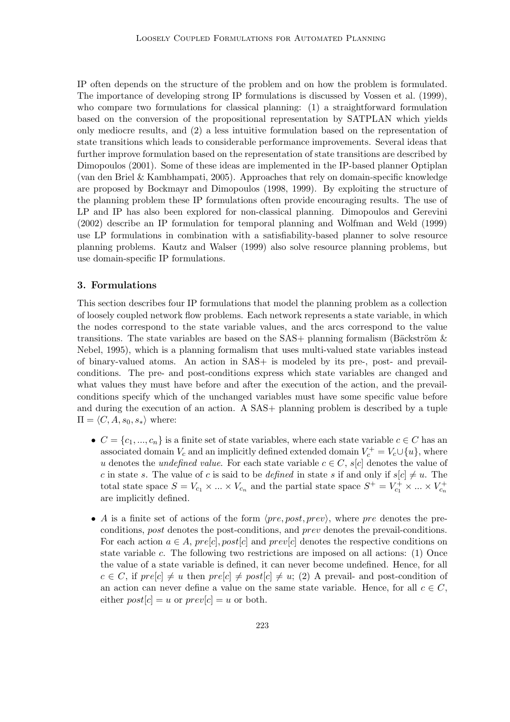IP often depends on the structure of the problem and on how the problem is formulated. The importance of developing strong IP formulations is discussed by Vossen et al. (1999), who compare two formulations for classical planning: (1) a straightforward formulation based on the conversion of the propositional representation by SATPLAN which yields only mediocre results, and (2) a less intuitive formulation based on the representation of state transitions which leads to considerable performance improvements. Several ideas that further improve formulation based on the representation of state transitions are described by Dimopoulos (2001). Some of these ideas are implemented in the IP-based planner Optiplan (van den Briel & Kambhampati, 2005). Approaches that rely on domain-specific knowledge are proposed by Bockmayr and Dimopoulos (1998, 1999). By exploiting the structure of the planning problem these IP formulations often provide encouraging results. The use of LP and IP has also been explored for non-classical planning. Dimopoulos and Gerevini (2002) describe an IP formulation for temporal planning and Wolfman and Weld (1999) use LP formulations in combination with a satisfiability-based planner to solve resource planning problems. Kautz and Walser (1999) also solve resource planning problems, but use domain-specific IP formulations.

# 3. Formulations

This section describes four IP formulations that model the planning problem as a collection of loosely coupled network flow problems. Each network represents a state variable, in which the nodes correspond to the state variable values, and the arcs correspond to the value transitions. The state variables are based on the  $SAS+$  planning formalism (Bäckström  $\&$ Nebel, 1995), which is a planning formalism that uses multi-valued state variables instead of binary-valued atoms. An action in SAS+ is modeled by its pre-, post- and prevailconditions. The pre- and post-conditions express which state variables are changed and what values they must have before and after the execution of the action, and the prevailconditions specify which of the unchanged variables must have some specific value before and during the execution of an action. A SAS+ planning problem is described by a tuple  $\Pi = \langle C, A, s_0, s_* \rangle$  where:

- $C = \{c_1, ..., c_n\}$  is a finite set of state variables, where each state variable  $c \in C$  has an associated domain  $V_c$  and an implicitly defined extended domain  $V_c^+ = V_c \cup \{u\}$ , where u denotes the *undefined value*. For each state variable  $c \in C$ ,  $s[c]$  denotes the value of c in state s. The value of c is said to be *defined* in state s if and only if  $s[c] \neq u$ . The total state space  $S = V_{c_1} \times ... \times V_{c_n}$  and the partial state space  $S^+ = V_{c_1}^+ \times ... \times V_{c_n}^+$ are implicitly defined.
- A is a finite set of actions of the form  $\langle pre, post, prev \rangle$ , where pre denotes the preconditions, post denotes the post-conditions, and prev denotes the prevail-conditions. For each action  $a \in A$ ,  $pre[c]$ ,  $post[c]$  and  $prev[c]$  denotes the respective conditions on state variable c. The following two restrictions are imposed on all actions: (1) Once the value of a state variable is defined, it can never become undefined. Hence, for all  $c \in C$ , if  $pre[c] \neq u$  then  $pre[c] \neq post[c] \neq u$ ; (2) A prevail- and post-condition of an action can never define a value on the same state variable. Hence, for all  $c \in C$ , either  $post[c] = u$  or  $prev[c] = u$  or both.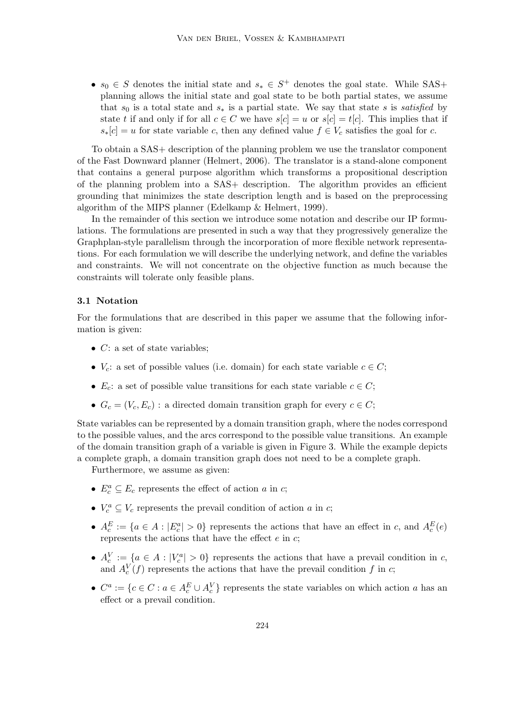•  $s_0 \in S$  denotes the initial state and  $s_* \in S^+$  denotes the goal state. While SAS+ planning allows the initial state and goal state to be both partial states, we assume that s<sub>0</sub> is a total state and  $s_*$  is a partial state. We say that state s is satisfied by state t if and only if for all  $c \in C$  we have  $s[c] = u$  or  $s[c] = t[c]$ . This implies that if  $s_*[c] = u$  for state variable c, then any defined value  $f \in V_c$  satisfies the goal for c.

To obtain a SAS+ description of the planning problem we use the translator component of the Fast Downward planner (Helmert, 2006). The translator is a stand-alone component that contains a general purpose algorithm which transforms a propositional description of the planning problem into a SAS+ description. The algorithm provides an efficient grounding that minimizes the state description length and is based on the preprocessing algorithm of the MIPS planner (Edelkamp & Helmert, 1999).

In the remainder of this section we introduce some notation and describe our IP formulations. The formulations are presented in such a way that they progressively generalize the Graphplan-style parallelism through the incorporation of more flexible network representations. For each formulation we will describe the underlying network, and define the variables and constraints. We will not concentrate on the objective function as much because the constraints will tolerate only feasible plans.

#### 3.1 Notation

For the formulations that are described in this paper we assume that the following information is given:

- $C:$  a set of state variables;
- $V_c$ : a set of possible values (i.e. domain) for each state variable  $c \in C$ ;
- $E_c$ : a set of possible value transitions for each state variable  $c \in C$ ;
- $G_c = (V_c, E_c)$ : a directed domain transition graph for every  $c \in C$ ;

State variables can be represented by a domain transition graph, where the nodes correspond to the possible values, and the arcs correspond to the possible value transitions. An example of the domain transition graph of a variable is given in Figure 3. While the example depicts a complete graph, a domain transition graph does not need to be a complete graph.

Furthermore, we assume as given:

- $E_c^a \subseteq E_c$  represents the effect of action a in c;
- $V_c^a \subseteq V_c$  represents the prevail condition of action a in c;
- $A_c^E := \{a \in A : |E_c^a| > 0\}$  represents the actions that have an effect in c, and  $A_c^E(e)$ represents the actions that have the effect  $e$  in  $c$ ;
- $A_c^V := \{a \in A : |V_c^a| > 0\}$  represents the actions that have a prevail condition in c, and  $A_c^V(f)$  represents the actions that have the prevail condition f in c;
- $C^a := \{c \in C : a \in A_c^E \cup A_c^V\}$  represents the state variables on which action a has an effect or a prevail condition.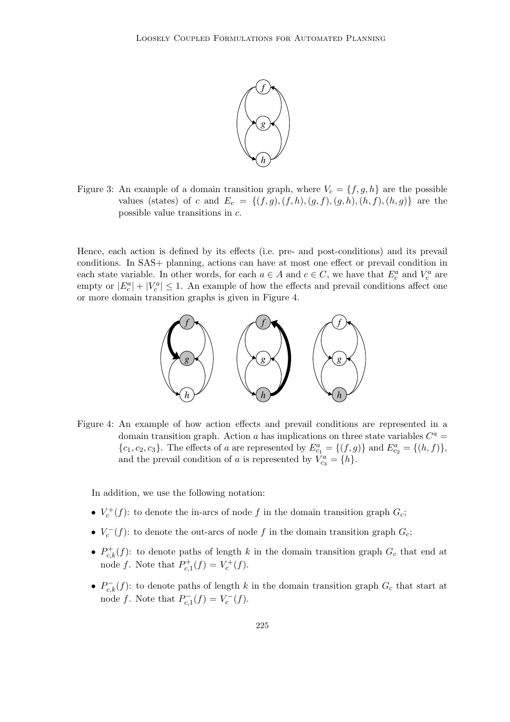

Figure 3: An example of a domain transition graph, where  $V_c = \{f, g, h\}$  are the possible values (states) of c and  $E_c = \{(f,g),(f,h),(g,f),(g,h),(h,f),(h,g)\}$  are the possible value transitions in c.

Hence, each action is defined by its effects (i.e. pre- and post-conditions) and its prevail conditions. In SAS+ planning, actions can have at most one effect or prevail condition in each state variable. In other words, for each  $a \in A$  and  $c \in C$ , we have that  $E_c^a$  and  $V_c^a$  are empty or  $|E_c^a| + |V_c^a| \leq 1$ . An example of how the effects and prevail conditions affect one or more domain transition graphs is given in Figure 4.



Figure 4: An example of how action effects and prevail conditions are represented in a domain transition graph. Action a has implications on three state variables  $C^a$  =  ${c_1, c_2, c_3}$ . The effects of a are represented by  $E_{c_1}^a = {(f, g)}$  and  $E_{c_2}^a = {(h, f)}$ , and the prevail condition of a is represented by  $\hat{V}_{c_3}^a = \{h\}.$ 

In addition, we use the following notation:

- $V_c^+(f)$ : to denote the in-arcs of node f in the domain transition graph  $G_c$ ;
- $V_c^-(f)$ : to denote the out-arcs of node f in the domain transition graph  $G_c$ ;
- $P_{c,k}^+(f)$ : to denote paths of length k in the domain transition graph  $G_c$  that end at node f. Note that  $P_{c,1}^{+}(f) = V_c^{+}(f)$ .
- $P_{c,k}^{-}(f)$ : to denote paths of length k in the domain transition graph  $G_c$  that start at node f. Note that  $P_{c,1}^{-}(f) = V_c^{-}(f)$ .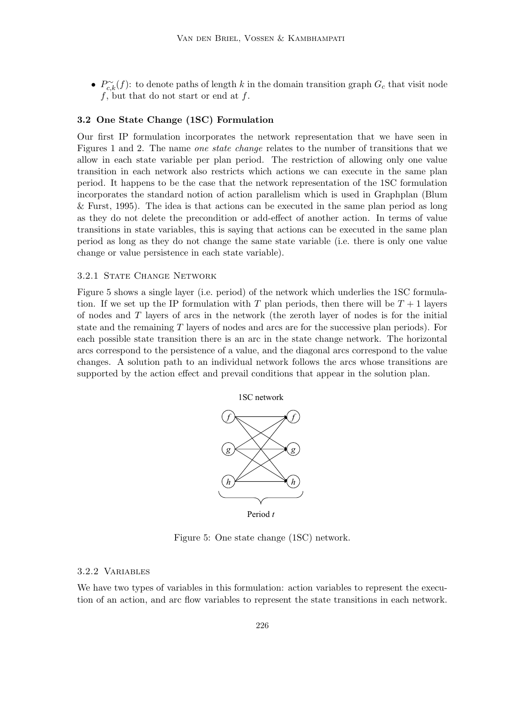•  $P_{c,k}^{\sim}(f)$ : to denote paths of length k in the domain transition graph  $G_c$  that visit node  $f$ , but that do not start or end at  $f$ .

# 3.2 One State Change (1SC) Formulation

Our first IP formulation incorporates the network representation that we have seen in Figures 1 and 2. The name one state change relates to the number of transitions that we allow in each state variable per plan period. The restriction of allowing only one value transition in each network also restricts which actions we can execute in the same plan period. It happens to be the case that the network representation of the 1SC formulation incorporates the standard notion of action parallelism which is used in Graphplan (Blum & Furst, 1995). The idea is that actions can be executed in the same plan period as long as they do not delete the precondition or add-effect of another action. In terms of value transitions in state variables, this is saying that actions can be executed in the same plan period as long as they do not change the same state variable (i.e. there is only one value change or value persistence in each state variable).

# 3.2.1 STATE CHANGE NETWORK

Figure 5 shows a single layer (i.e. period) of the network which underlies the 1SC formulation. If we set up the IP formulation with T plan periods, then there will be  $T + 1$  layers of nodes and T layers of arcs in the network (the zeroth layer of nodes is for the initial state and the remaining T layers of nodes and arcs are for the successive plan periods). For each possible state transition there is an arc in the state change network. The horizontal arcs correspond to the persistence of a value, and the diagonal arcs correspond to the value changes. A solution path to an individual network follows the arcs whose transitions are supported by the action effect and prevail conditions that appear in the solution plan.



Figure 5: One state change (1SC) network.

# 3.2.2 Variables

We have two types of variables in this formulation: action variables to represent the execution of an action, and arc flow variables to represent the state transitions in each network.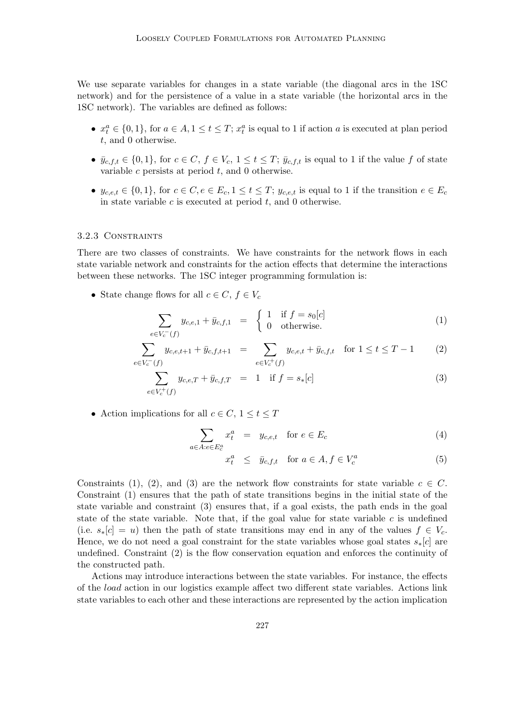We use separate variables for changes in a state variable (the diagonal arcs in the 1SC network) and for the persistence of a value in a state variable (the horizontal arcs in the 1SC network). The variables are defined as follows:

- $x_t^a \in \{0,1\}$ , for  $a \in A$ ,  $1 \le t \le T$ ;  $x_t^a$  is equal to 1 if action a is executed at plan period t, and 0 otherwise.
- $\bar{y}_{c,f,t} \in \{0,1\}$ , for  $c \in C$ ,  $f \in V_c$ ,  $1 \le t \le T$ ;  $\bar{y}_{c,f,t}$  is equal to 1 if the value f of state variable c persists at period  $t$ , and 0 otherwise.
- $y_{c,e,t} \in \{0,1\}$ , for  $c \in C, e \in E_c, 1 \le t \le T$ ;  $y_{c,e,t}$  is equal to 1 if the transition  $e \in E_c$ in state variable  $c$  is executed at period  $t$ , and 0 otherwise.

#### 3.2.3 Constraints

There are two classes of constraints. We have constraints for the network flows in each state variable network and constraints for the action effects that determine the interactions between these networks. The 1SC integer programming formulation is:

• State change flows for all  $c \in C, f \in V_c$ 

$$
\sum_{e \in V_c^-(f)} y_{c,e,1} + \bar{y}_{c,f,1} = \begin{cases} 1 & \text{if } f = s_0[c] \\ 0 & \text{otherwise.} \end{cases}
$$
 (1)

$$
\sum_{e \in V_c^-(f)} y_{c,e,t+1} + \bar{y}_{c,f,t+1} = \sum_{e \in V_c^+(f)} y_{c,e,t} + \bar{y}_{c,f,t} \quad \text{for } 1 \le t \le T - 1 \tag{2}
$$

$$
\sum_{e \in V_c^+(f)} y_{c,e,T} + \bar{y}_{c,f,T} = 1 \quad \text{if } f = s_*[c] \tag{3}
$$

• Action implications for all  $c \in C$ ,  $1 \le t \le T$ 

$$
\sum_{a \in A: e \in E_c^a} x_t^a = y_{c,e,t} \quad \text{for } e \in E_c \tag{4}
$$

$$
x_t^a \le \bar{y}_{c,f,t} \quad \text{for } a \in A, f \in V_c^a \tag{5}
$$

Constraints (1), (2), and (3) are the network flow constraints for state variable  $c \in C$ . Constraint (1) ensures that the path of state transitions begins in the initial state of the state variable and constraint (3) ensures that, if a goal exists, the path ends in the goal state of the state variable. Note that, if the goal value for state variable  $c$  is undefined (i.e.  $s_*[c] = u$ ) then the path of state transitions may end in any of the values  $f \in V_c$ . Hence, we do not need a goal constraint for the state variables whose goal states  $s_*[c]$  are undefined. Constraint (2) is the flow conservation equation and enforces the continuity of the constructed path.

Actions may introduce interactions between the state variables. For instance, the effects of the load action in our logistics example affect two different state variables. Actions link state variables to each other and these interactions are represented by the action implication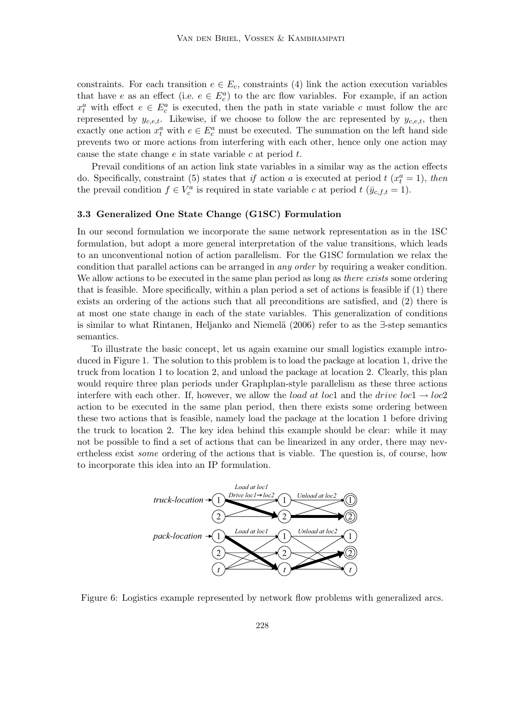constraints. For each transition  $e \in E_c$ , constraints (4) link the action execution variables that have e as an effect (i.e.  $e \in E_c^a$ ) to the arc flow variables. For example, if an action  $x_t^a$  with effect  $e \in E_c^a$  is executed, then the path in state variable c must follow the arc represented by  $y_{c,e,t}$ . Likewise, if we choose to follow the arc represented by  $y_{c,e,t}$ , then exactly one action  $x_t^a$  with  $e \in E_c^a$  must be executed. The summation on the left hand side prevents two or more actions from interfering with each other, hence only one action may cause the state change  $e$  in state variable  $c$  at period  $t$ .

Prevail conditions of an action link state variables in a similar way as the action effects do. Specifically, constraint (5) states that if action a is executed at period  $t$  ( $x_t^a = 1$ ), then the prevail condition  $f \in V_c^a$  is required in state variable c at period  $t$  ( $\bar{y}_{c,f,t} = 1$ ).

# 3.3 Generalized One State Change (G1SC) Formulation

In our second formulation we incorporate the same network representation as in the 1SC formulation, but adopt a more general interpretation of the value transitions, which leads to an unconventional notion of action parallelism. For the G1SC formulation we relax the condition that parallel actions can be arranged in any order by requiring a weaker condition. We allow actions to be executed in the same plan period as long as *there exists* some ordering that is feasible. More specifically, within a plan period a set of actions is feasible if (1) there exists an ordering of the actions such that all preconditions are satisfied, and (2) there is at most one state change in each of the state variables. This generalization of conditions is similar to what Rintanen, Heljanko and Niemel¨a (2006) refer to as the ∃-step semantics semantics.

To illustrate the basic concept, let us again examine our small logistics example introduced in Figure 1. The solution to this problem is to load the package at location 1, drive the truck from location 1 to location 2, and unload the package at location 2. Clearly, this plan would require three plan periods under Graphplan-style parallelism as these three actions interfere with each other. If, however, we allow the *load at loc*1 and the *drive loc*1  $\rightarrow$  *loc*2 action to be executed in the same plan period, then there exists some ordering between these two actions that is feasible, namely load the package at the location 1 before driving the truck to location 2. The key idea behind this example should be clear: while it may not be possible to find a set of actions that can be linearized in any order, there may nevertheless exist some ordering of the actions that is viable. The question is, of course, how to incorporate this idea into an IP formulation.



Figure 6: Logistics example represented by network flow problems with generalized arcs.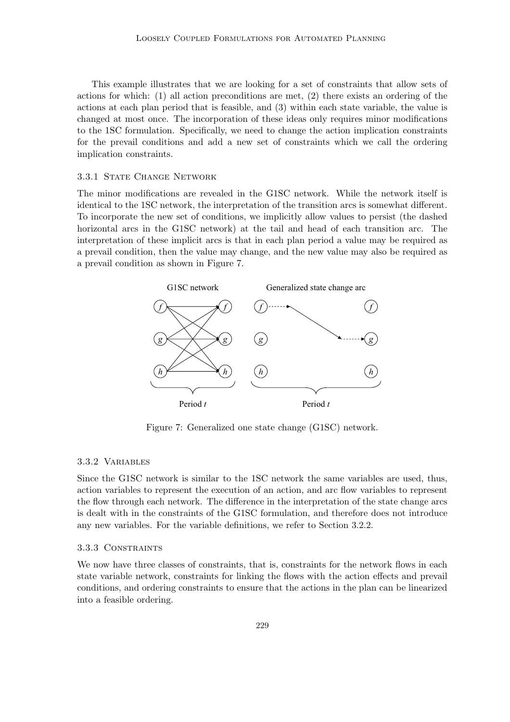This example illustrates that we are looking for a set of constraints that allow sets of actions for which: (1) all action preconditions are met, (2) there exists an ordering of the actions at each plan period that is feasible, and (3) within each state variable, the value is changed at most once. The incorporation of these ideas only requires minor modifications to the 1SC formulation. Specifically, we need to change the action implication constraints for the prevail conditions and add a new set of constraints which we call the ordering implication constraints.

#### 3.3.1 STATE CHANGE NETWORK

The minor modifications are revealed in the G1SC network. While the network itself is identical to the 1SC network, the interpretation of the transition arcs is somewhat different. To incorporate the new set of conditions, we implicitly allow values to persist (the dashed horizontal arcs in the G1SC network) at the tail and head of each transition arc. The interpretation of these implicit arcs is that in each plan period a value may be required as a prevail condition, then the value may change, and the new value may also be required as a prevail condition as shown in Figure 7.



Figure 7: Generalized one state change (G1SC) network.

#### 3.3.2 Variables

Since the G1SC network is similar to the 1SC network the same variables are used, thus, action variables to represent the execution of an action, and arc flow variables to represent the flow through each network. The difference in the interpretation of the state change arcs is dealt with in the constraints of the G1SC formulation, and therefore does not introduce any new variables. For the variable definitions, we refer to Section 3.2.2.

# 3.3.3 Constraints

We now have three classes of constraints, that is, constraints for the network flows in each state variable network, constraints for linking the flows with the action effects and prevail conditions, and ordering constraints to ensure that the actions in the plan can be linearized into a feasible ordering.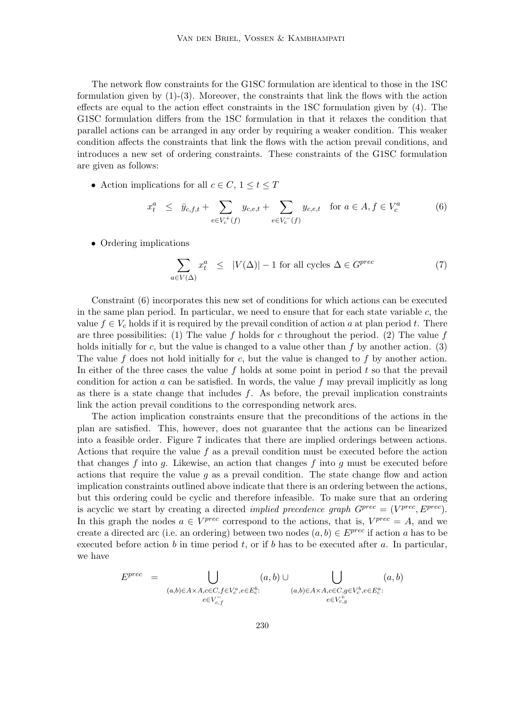The network flow constraints for the G1SC formulation are identical to those in the 1SC formulation given by  $(1)-(3)$ . Moreover, the constraints that link the flows with the action effects are equal to the action effect constraints in the 1SC formulation given by (4). The G1SC formulation differs from the 1SC formulation in that it relaxes the condition that parallel actions can be arranged in any order by requiring a weaker condition. This weaker condition affects the constraints that link the flows with the action prevail conditions, and introduces a new set of ordering constraints. These constraints of the G1SC formulation are given as follows:

• Action implications for all  $c \in C$ ,  $1 \le t \le T$ 

$$
x_t^a \le \bar{y}_{c,f,t} + \sum_{e \in V_c^+(f)} y_{c,e,t} + \sum_{e \in V_c^-(f)} y_{c,e,t} \quad \text{for } a \in A, f \in V_c^a \tag{6}
$$

• Ordering implications

$$
\sum_{a \in V(\Delta)} x_t^a \le |V(\Delta)| - 1 \text{ for all cycles } \Delta \in G^{prec} \tag{7}
$$

Constraint (6) incorporates this new set of conditions for which actions can be executed in the same plan period. In particular, we need to ensure that for each state variable  $c$ , the value  $f \in V_c$  holds if it is required by the prevail condition of action a at plan period t. There are three possibilities: (1) The value f holds for c throughout the period. (2) The value f holds initially for c, but the value is changed to a value other than  $f$  by another action. (3) The value f does not hold initially for c, but the value is changed to f by another action. In either of the three cases the value  $f$  holds at some point in period  $t$  so that the prevail condition for action a can be satisfied. In words, the value f may prevail implicitly as long as there is a state change that includes  $f$ . As before, the prevail implication constraints link the action prevail conditions to the corresponding network arcs.

The action implication constraints ensure that the preconditions of the actions in the plan are satisfied. This, however, does not guarantee that the actions can be linearized into a feasible order. Figure 7 indicates that there are implied orderings between actions. Actions that require the value  $f$  as a prevail condition must be executed before the action that changes f into g. Likewise, an action that changes f into g must be executed before actions that require the value  $q$  as a prevail condition. The state change flow and action implication constraints outlined above indicate that there is an ordering between the actions, but this ordering could be cyclic and therefore infeasible. To make sure that an ordering is acyclic we start by creating a directed *implied precedence graph*  $G^{prec} = (V^{prec}, E^{prec})$ . In this graph the nodes  $a \in V^{prec}$  correspond to the actions, that is,  $V^{prec} = A$ , and we create a directed arc (i.e. an ordering) between two nodes  $(a, b) \in E^{prec}$  if action a has to be executed before action b in time period t, or if b has to be executed after a. In particular, we have

$$
E^{prec} = \bigcup_{\substack{(a,b)\in A\times A,c\in C,f\in V_c^a,e\in E_c^b:\\ e\in V_{c,f}}} (a,b) \cup \bigcup_{\substack{(a,b)\in A\times A,c\in C,g\in V_c^b,e\in E_c^a:\\ e\in V_{c,g}^+}} (a,b)
$$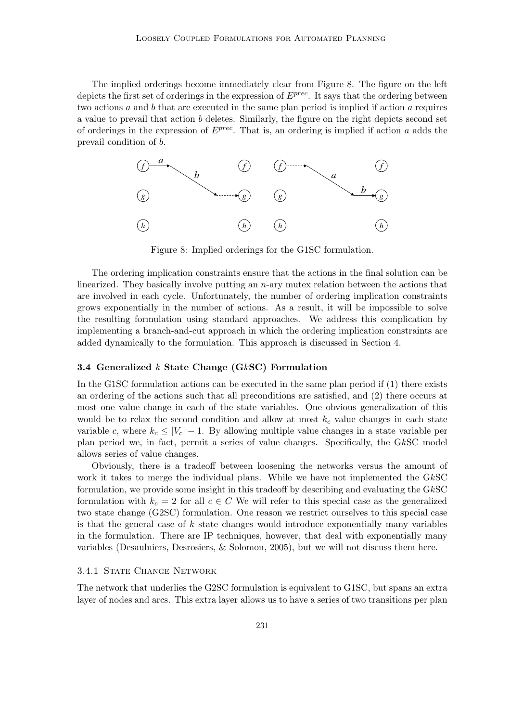The implied orderings become immediately clear from Figure 8. The figure on the left depicts the first set of orderings in the expression of  $E^{prec}$ . It says that the ordering between two actions  $a$  and  $b$  that are executed in the same plan period is implied if action  $a$  requires a value to prevail that action b deletes. Similarly, the figure on the right depicts second set of orderings in the expression of  $E^{prec}$ . That is, an ordering is implied if action a adds the prevail condition of b.



Figure 8: Implied orderings for the G1SC formulation.

The ordering implication constraints ensure that the actions in the final solution can be linearized. They basically involve putting an n-ary mutex relation between the actions that are involved in each cycle. Unfortunately, the number of ordering implication constraints grows exponentially in the number of actions. As a result, it will be impossible to solve the resulting formulation using standard approaches. We address this complication by implementing a branch-and-cut approach in which the ordering implication constraints are added dynamically to the formulation. This approach is discussed in Section 4.

#### 3.4 Generalized  $k$  State Change (G $k$ SC) Formulation

In the G1SC formulation actions can be executed in the same plan period if (1) there exists an ordering of the actions such that all preconditions are satisfied, and (2) there occurs at most one value change in each of the state variables. One obvious generalization of this would be to relax the second condition and allow at most  $k_c$  value changes in each state variable c, where  $k_c \leq |V_c| - 1$ . By allowing multiple value changes in a state variable per plan period we, in fact, permit a series of value changes. Specifically, the GkSC model allows series of value changes.

Obviously, there is a tradeoff between loosening the networks versus the amount of work it takes to merge the individual plans. While we have not implemented the GkSC formulation, we provide some insight in this tradeoff by describing and evaluating the GkSC formulation with  $k_c = 2$  for all  $c \in C$  We will refer to this special case as the generalized two state change (G2SC) formulation. One reason we restrict ourselves to this special case is that the general case of  $k$  state changes would introduce exponentially many variables in the formulation. There are IP techniques, however, that deal with exponentially many variables (Desaulniers, Desrosiers, & Solomon, 2005), but we will not discuss them here.

#### 3.4.1 STATE CHANGE NETWORK

The network that underlies the G2SC formulation is equivalent to G1SC, but spans an extra layer of nodes and arcs. This extra layer allows us to have a series of two transitions per plan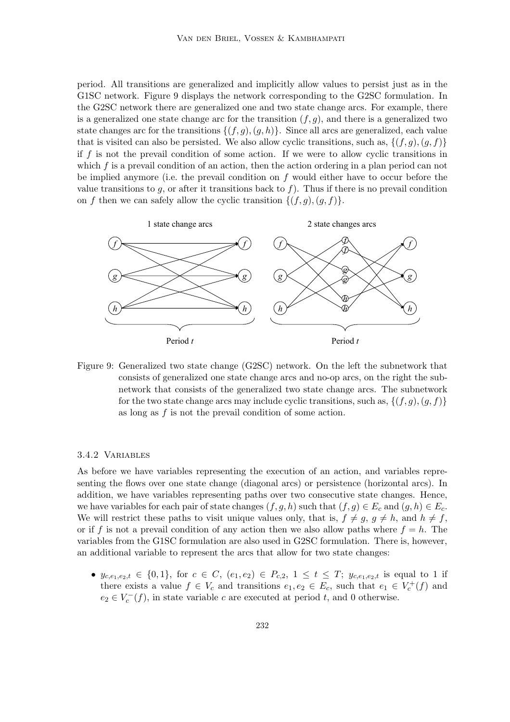period. All transitions are generalized and implicitly allow values to persist just as in the G1SC network. Figure 9 displays the network corresponding to the G2SC formulation. In the G2SC network there are generalized one and two state change arcs. For example, there is a generalized one state change arc for the transition  $(f, g)$ , and there is a generalized two state changes arc for the transitions  $\{(f,g),(g,h)\}.$  Since all arcs are generalized, each value that is visited can also be persisted. We also allow cyclic transitions, such as,  $\{(f,g),(g,f)\}\$ if  $f$  is not the prevail condition of some action. If we were to allow cyclic transitions in which  $f$  is a prevail condition of an action, then the action ordering in a plan period can not be implied anymore (i.e. the prevail condition on  $f$  would either have to occur before the value transitions to g, or after it transitions back to f). Thus if there is no prevail condition on f then we can safely allow the cyclic transition  $\{(f,g),(g,f)\}.$ 



Figure 9: Generalized two state change (G2SC) network. On the left the subnetwork that consists of generalized one state change arcs and no-op arcs, on the right the subnetwork that consists of the generalized two state change arcs. The subnetwork for the two state change arcs may include cyclic transitions, such as,  $\{(f,g),(g,f)\}$ as long as  $f$  is not the prevail condition of some action.

#### 3.4.2 Variables

As before we have variables representing the execution of an action, and variables representing the flows over one state change (diagonal arcs) or persistence (horizontal arcs). In addition, we have variables representing paths over two consecutive state changes. Hence, we have variables for each pair of state changes  $(f,g,h)$  such that  $(f,g) \in E_c$  and  $(g,h) \in E_c$ . We will restrict these paths to visit unique values only, that is,  $f \neq g$ ,  $g \neq h$ , and  $h \neq f$ , or if f is not a prevail condition of any action then we also allow paths where  $f = h$ . The variables from the G1SC formulation are also used in G2SC formulation. There is, however, an additional variable to represent the arcs that allow for two state changes:

•  $y_{c,e_1,e_2,t} \in \{0,1\}$ , for  $c \in C$ ,  $(e_1,e_2) \in P_{c,2}$ ,  $1 \le t \le T$ ;  $y_{c,e_1,e_2,t}$  is equal to 1 if there exists a value  $f \in V_c$  and transitions  $e_1, e_2 \in E_c$ , such that  $e_1 \in V_c^+(f)$  and  $e_2 \in V_c^-(f)$ , in state variable c are executed at period t, and 0 otherwise.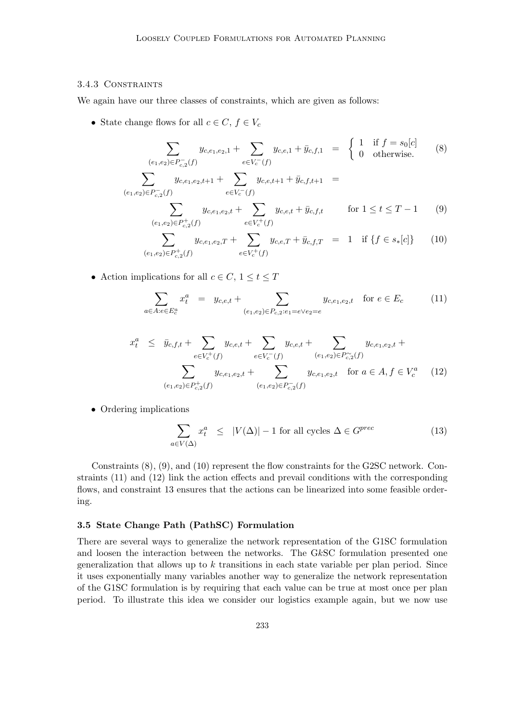# 3.4.3 Constraints

We again have our three classes of constraints, which are given as follows:

• State change flows for all  $c \in C, f \in V_c$ 

$$
\sum_{(e_1, e_2) \in P_{c,2}^-(f)} y_{c,e_1,e_2,1} + \sum_{e \in V_c^-(f)} y_{c,e,1} + \bar{y}_{c,f,1} = \begin{cases} 1 & \text{if } f = s_0[c] \\ 0 & \text{otherwise.} \end{cases} \tag{8}
$$

$$
\sum_{(e_1,e_2)\in P_{c,2}^-(f)} y_{c,e_1,e_2,t+1} + \sum_{e\in V_c^-(f)} y_{c,e,t+1} + \bar{y}_{c,f,t+1} =
$$
\n
$$
\sum_{e_1,e_2,e_1,e_2,e_2,e_1,e_2,e_2,e_2,e_1,e_2,e_2,e_2,e_1,e_2,e_2,e_1,e_2,e_1,e_2,e_1,e_2,e_1,e_2,e_1,e_2,e_1,e_2,e_1,e_2,e_1,e_2,e_1,e_2,e_1,e_2,e_1,e_2,e_1,e_2,e_1,e_2,e_1,e_2,e_1,e_2,e_1,e_2,e_1,e_2,e_1,e_2,e_1,e_2,e_1,e_2,e_1,e_2,e_1,e_2,e_1,e_2,e_1,e_2,e_1,e_2,e_1,e_2,e_1,e_2,e_1,e_2,e_1,e_2,e_1,e_2,e_1,e_2,e_1,e_2,e_1,e_2,e_1,e_2,e_1,e_2,e_1,e_2,e_1,e_2,e_1,e_2,e_1,e_2,e_1,e_2,e_1,e_2,e_1,e_2,e_1,e_2,e_1,e_2,e_1,e_2,e_1,e_2,e_1,e_2,e_1,e_2,e_1,e_2,e_1,e_2,e_1,e_2,e_1,e_2,e_1,e_2,e_1,e_2,e_1,e_2,e_1,e_2,e_1,e_2,e_1,e_2,e_1,e_2,e_1,e_2,e_1,e_2,e_1,e_2,e_1,e_2,e_1,e_2,e_1,e_2,e_1,e_2,e_1,e_2,e_1,e_2,e_1,e_2,e_1,e_2,e_1,e_2,e_1,e_2,e_1,e_2,e_1,e_2,e_1,e_2,e_1,e_2,e_1,e_2,e_1,e_2,e_1,e_2,e_1,e_2,e_1,e_2,e_1,e_2,e_1,e_2,e_1,e_2,e_1,e_2,e_1,e_2,e_1,e_2,e_1,e_2,e_1,e_2,e_1,e_2,e_1,e_2,e_1,e_2,e_1,e_2,e_1,e_2,e_1,e_2,e_1,e_2,e_1,e_2,e_1,e_2,e_1,e_2,e_1,e_2,e_1,e_2,e_1,e_2,e_1,e_1,e_2,e_1,e_2,e_1,e
$$

$$
(e_1, e_2) \in P_{c,2}^+(f)
$$
\n
$$
\sum_{(e_1, e_2) \in P_{c,2}^+(f)} y_{c,e_1,e_2,T} + \sum_{e \in V_c^+(f)} y_{c,e,T} + \bar{y}_{c,f,T} = 1 \quad \text{if } \{f \in s_*[c]\} \tag{10}
$$
\n
$$
(e_1, e_2) \in P_{c,2}^+(f)
$$

• Action implications for all  $c \in C$ ,  $1 \le t \le T$ 

$$
\sum_{a \in A: e \in E_c^a} x_t^a = y_{c,e,t} + \sum_{(e_1,e_2) \in P_{c,2}: e_1 = e \vee e_2 = e} y_{c,e_1,e_2,t} \quad \text{for } e \in E_c \tag{11}
$$

$$
x_t^a \leq \bar{y}_{c,f,t} + \sum_{e \in V_c^+(f)} y_{c,e,t} + \sum_{e \in V_c^-(f)} y_{c,e,t} + \sum_{(e_1,e_2) \in P_{c,2}^-(f)} y_{c,e_1,e_2,t} + \sum_{(e_1,e_2) \in P_{c,2}^+(f)} y_{c,e_1,e_2,t} \quad \text{for } a \in A, f \in V_c^a \tag{12}
$$
\n
$$
y_{c,e_1,e_2} + \sum_{(e_1,e_2) \in P_{c,2}^-(f)} y_{c,e_1,e_2,t} \quad \text{for } a \in A, f \in V_c^a
$$

• Ordering implications

$$
\sum_{a \in V(\Delta)} x_t^a \le |V(\Delta)| - 1 \text{ for all cycles } \Delta \in G^{prec} \tag{13}
$$

Constraints (8), (9), and (10) represent the flow constraints for the G2SC network. Constraints (11) and (12) link the action effects and prevail conditions with the corresponding flows, and constraint 13 ensures that the actions can be linearized into some feasible ordering.

#### 3.5 State Change Path (PathSC) Formulation

There are several ways to generalize the network representation of the G1SC formulation and loosen the interaction between the networks. The GkSC formulation presented one generalization that allows up to  $k$  transitions in each state variable per plan period. Since it uses exponentially many variables another way to generalize the network representation of the G1SC formulation is by requiring that each value can be true at most once per plan period. To illustrate this idea we consider our logistics example again, but we now use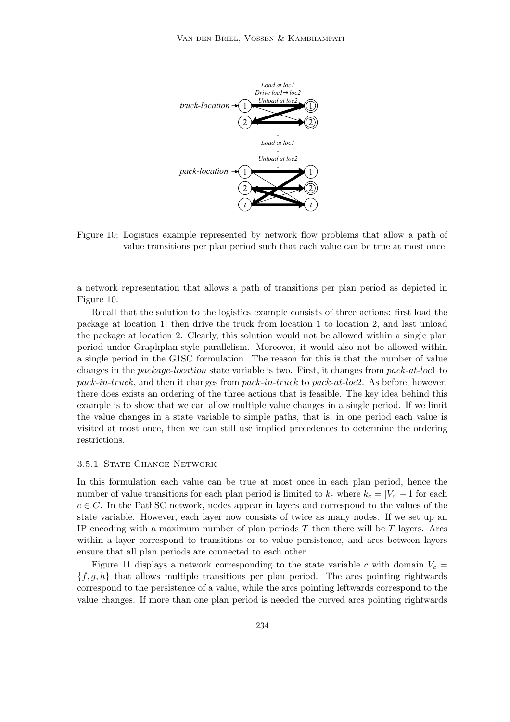

Figure 10: Logistics example represented by network flow problems that allow a path of value transitions per plan period such that each value can be true at most once.

a network representation that allows a path of transitions per plan period as depicted in Figure 10.

Recall that the solution to the logistics example consists of three actions: first load the package at location 1, then drive the truck from location 1 to location 2, and last unload the package at location 2. Clearly, this solution would not be allowed within a single plan period under Graphplan-style parallelism. Moreover, it would also not be allowed within a single period in the G1SC formulation. The reason for this is that the number of value changes in the package-location state variable is two. First, it changes from pack-at-loc1 to pack-in-truck, and then it changes from pack-in-truck to pack-at-loc2. As before, however, there does exists an ordering of the three actions that is feasible. The key idea behind this example is to show that we can allow multiple value changes in a single period. If we limit the value changes in a state variable to simple paths, that is, in one period each value is visited at most once, then we can still use implied precedences to determine the ordering restrictions.

#### 3.5.1 STATE CHANGE NETWORK

In this formulation each value can be true at most once in each plan period, hence the number of value transitions for each plan period is limited to  $k_c$  where  $k_c = |V_c| - 1$  for each  $c \in C$ . In the PathSC network, nodes appear in layers and correspond to the values of the state variable. However, each layer now consists of twice as many nodes. If we set up an IP encoding with a maximum number of plan periods  $T$  then there will be  $T$  layers. Arcs within a layer correspond to transitions or to value persistence, and arcs between layers ensure that all plan periods are connected to each other.

Figure 11 displays a network corresponding to the state variable c with domain  $V_c$  ${f, g, h}$  that allows multiple transitions per plan period. The arcs pointing rightwards correspond to the persistence of a value, while the arcs pointing leftwards correspond to the value changes. If more than one plan period is needed the curved arcs pointing rightwards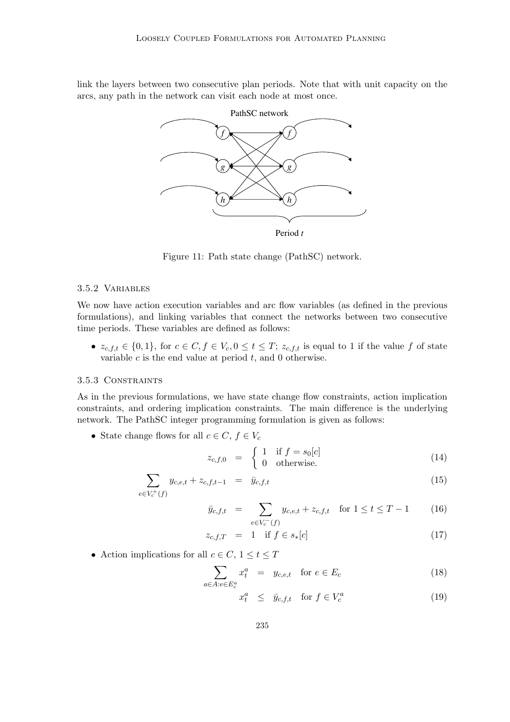link the layers between two consecutive plan periods. Note that with unit capacity on the arcs, any path in the network can visit each node at most once.



Figure 11: Path state change (PathSC) network.

# 3.5.2 Variables

We now have action execution variables and arc flow variables (as defined in the previous formulations), and linking variables that connect the networks between two consecutive time periods. These variables are defined as follows:

•  $z_{c,f,t} \in \{0,1\}$ , for  $c \in C, f \in V_c, 0 \le t \le T$ ;  $z_{c,f,t}$  is equal to 1 if the value f of state variable  $c$  is the end value at period  $t$ , and 0 otherwise.

# 3.5.3 CONSTRAINTS

As in the previous formulations, we have state change flow constraints, action implication constraints, and ordering implication constraints. The main difference is the underlying network. The PathSC integer programming formulation is given as follows:

• State change flows for all  $c \in C, f \in V_c$ 

$$
z_{c,f,0} = \begin{cases} 1 & \text{if } f = s_0[c] \\ 0 & \text{otherwise.} \end{cases}
$$
 (14)

$$
\sum_{e \in V_c^+(f)} y_{c,e,t} + z_{c,f,t-1} = \bar{y}_{c,f,t} \tag{15}
$$

$$
\bar{y}_{c,f,t} = \sum_{e \in V_c^-(f)} y_{c,e,t} + z_{c,f,t} \quad \text{for } 1 \le t \le T - 1 \tag{16}
$$

$$
z_{c,f,T} = 1 \quad \text{if } f \in s_*[c] \tag{17}
$$

• Action implications for all  $c \in C$ ,  $1 \le t \le T$ 

$$
\sum_{a \in A: e \in E_c^a} x_t^a = y_{c,e,t} \quad \text{for } e \in E_c \tag{18}
$$

$$
x_t^a \le \bar{y}_{c,f,t} \quad \text{for } f \in V_c^a \tag{19}
$$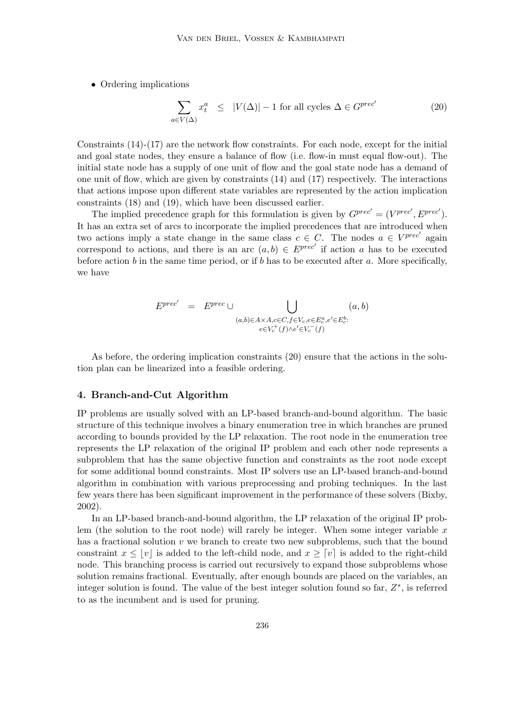• Ordering implications

$$
\sum_{a \in V(\Delta)} x_t^a \le |V(\Delta)| - 1 \text{ for all cycles } \Delta \in G^{prec'} \tag{20}
$$

Constraints  $(14)-(17)$  are the network flow constraints. For each node, except for the initial and goal state nodes, they ensure a balance of flow (i.e. flow-in must equal flow-out). The initial state node has a supply of one unit of flow and the goal state node has a demand of one unit of flow, which are given by constraints (14) and (17) respectively. The interactions that actions impose upon different state variables are represented by the action implication constraints (18) and (19), which have been discussed earlier.

The implied precedence graph for this formulation is given by  $G^{prec'} = (V^{prec'}, E^{prec'}).$ It has an extra set of arcs to incorporate the implied precedences that are introduced when two actions imply a state change in the same class  $c \in C$ . The nodes  $a \in V^{prec'}$  again correspond to actions, and there is an arc  $(a, b) \in E^{prec'}$  if action a has to be executed before action b in the same time period, or if b has to be executed after a. More specifically, we have

$$
E^{prec'} = E^{prec} \cup \bigcup_{\substack{(a,b)\in A\times A, c\in C, f\in V_c, e\in E_c^a, e'\in E_c^b:\\ e\in V_c^+(f)\wedge e'\in V_c^-(f)}} (a,b)
$$

As before, the ordering implication constraints (20) ensure that the actions in the solution plan can be linearized into a feasible ordering.

# 4. Branch-and-Cut Algorithm

IP problems are usually solved with an LP-based branch-and-bound algorithm. The basic structure of this technique involves a binary enumeration tree in which branches are pruned according to bounds provided by the LP relaxation. The root node in the enumeration tree represents the LP relaxation of the original IP problem and each other node represents a subproblem that has the same objective function and constraints as the root node except for some additional bound constraints. Most IP solvers use an LP-based branch-and-bound algorithm in combination with various preprocessing and probing techniques. In the last few years there has been significant improvement in the performance of these solvers (Bixby, 2002).

In an LP-based branch-and-bound algorithm, the LP relaxation of the original IP problem (the solution to the root node) will rarely be integer. When some integer variable  $x$ has a fractional solution v we branch to create two new subproblems, such that the bound constraint  $x \le |v|$  is added to the left-child node, and  $x \ge |v|$  is added to the right-child node. This branching process is carried out recursively to expand those subproblems whose solution remains fractional. Eventually, after enough bounds are placed on the variables, an integer solution is found. The value of the best integer solution found so far,  $Z^*$ , is referred to as the incumbent and is used for pruning.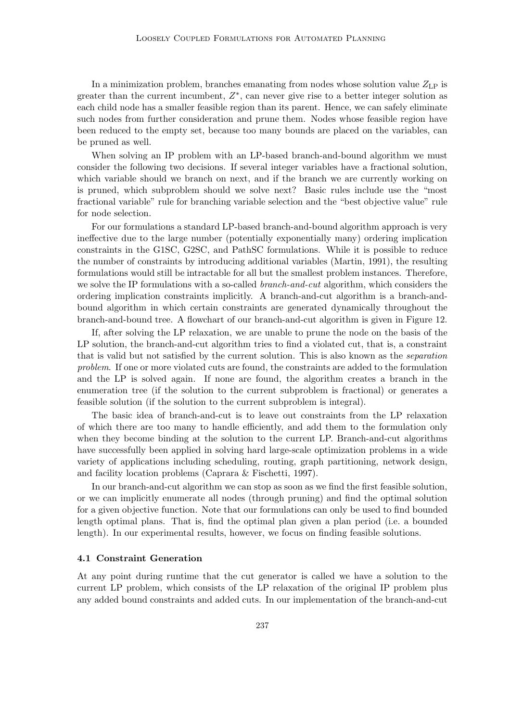In a minimization problem, branches emanating from nodes whose solution value  $Z_{\text{LP}}$  is greater than the current incumbent,  $Z^*$ , can never give rise to a better integer solution as each child node has a smaller feasible region than its parent. Hence, we can safely eliminate such nodes from further consideration and prune them. Nodes whose feasible region have been reduced to the empty set, because too many bounds are placed on the variables, can be pruned as well.

When solving an IP problem with an LP-based branch-and-bound algorithm we must consider the following two decisions. If several integer variables have a fractional solution, which variable should we branch on next, and if the branch we are currently working on is pruned, which subproblem should we solve next? Basic rules include use the "most fractional variable" rule for branching variable selection and the "best objective value" rule for node selection.

For our formulations a standard LP-based branch-and-bound algorithm approach is very ineffective due to the large number (potentially exponentially many) ordering implication constraints in the G1SC, G2SC, and PathSC formulations. While it is possible to reduce the number of constraints by introducing additional variables (Martin, 1991), the resulting formulations would still be intractable for all but the smallest problem instances. Therefore, we solve the IP formulations with a so-called *branch-and-cut* algorithm, which considers the ordering implication constraints implicitly. A branch-and-cut algorithm is a branch-andbound algorithm in which certain constraints are generated dynamically throughout the branch-and-bound tree. A flowchart of our branch-and-cut algorithm is given in Figure 12.

If, after solving the LP relaxation, we are unable to prune the node on the basis of the LP solution, the branch-and-cut algorithm tries to find a violated cut, that is, a constraint that is valid but not satisfied by the current solution. This is also known as the separation problem. If one or more violated cuts are found, the constraints are added to the formulation and the LP is solved again. If none are found, the algorithm creates a branch in the enumeration tree (if the solution to the current subproblem is fractional) or generates a feasible solution (if the solution to the current subproblem is integral).

The basic idea of branch-and-cut is to leave out constraints from the LP relaxation of which there are too many to handle efficiently, and add them to the formulation only when they become binding at the solution to the current LP. Branch-and-cut algorithms have successfully been applied in solving hard large-scale optimization problems in a wide variety of applications including scheduling, routing, graph partitioning, network design, and facility location problems (Caprara & Fischetti, 1997).

In our branch-and-cut algorithm we can stop as soon as we find the first feasible solution, or we can implicitly enumerate all nodes (through pruning) and find the optimal solution for a given objective function. Note that our formulations can only be used to find bounded length optimal plans. That is, find the optimal plan given a plan period (i.e. a bounded length). In our experimental results, however, we focus on finding feasible solutions.

# 4.1 Constraint Generation

At any point during runtime that the cut generator is called we have a solution to the current LP problem, which consists of the LP relaxation of the original IP problem plus any added bound constraints and added cuts. In our implementation of the branch-and-cut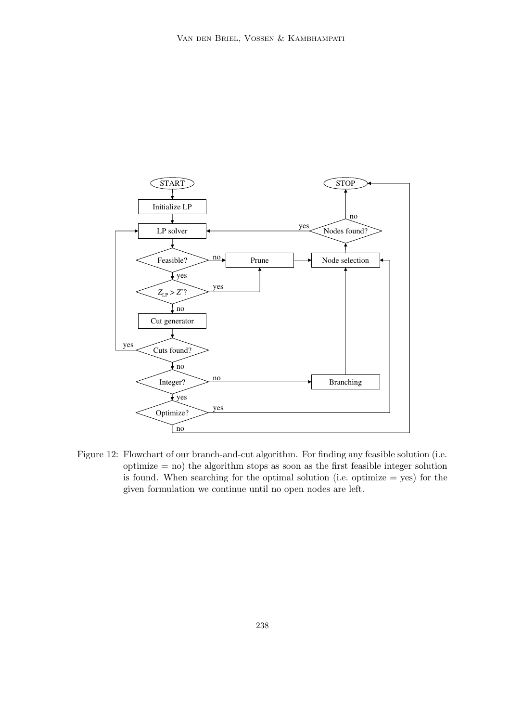

Figure 12: Flowchart of our branch-and-cut algorithm. For finding any feasible solution (i.e.  $\text{optimize} = \text{no}$  the algorithm stops as soon as the first feasible integer solution is found. When searching for the optimal solution (i.e. optimize  $=$  yes) for the given formulation we continue until no open nodes are left.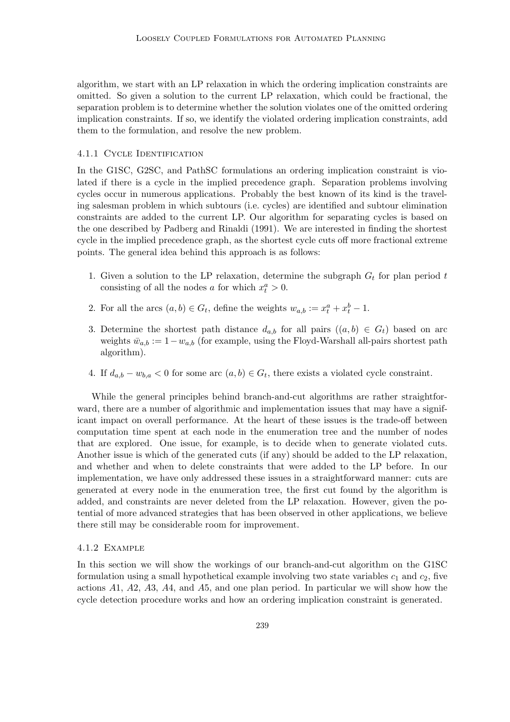algorithm, we start with an LP relaxation in which the ordering implication constraints are omitted. So given a solution to the current LP relaxation, which could be fractional, the separation problem is to determine whether the solution violates one of the omitted ordering implication constraints. If so, we identify the violated ordering implication constraints, add them to the formulation, and resolve the new problem.

# 4.1.1 CYCLE IDENTIFICATION

In the G1SC, G2SC, and PathSC formulations an ordering implication constraint is violated if there is a cycle in the implied precedence graph. Separation problems involving cycles occur in numerous applications. Probably the best known of its kind is the traveling salesman problem in which subtours (i.e. cycles) are identified and subtour elimination constraints are added to the current LP. Our algorithm for separating cycles is based on the one described by Padberg and Rinaldi (1991). We are interested in finding the shortest cycle in the implied precedence graph, as the shortest cycle cuts off more fractional extreme points. The general idea behind this approach is as follows:

- 1. Given a solution to the LP relaxation, determine the subgraph  $G_t$  for plan period t consisting of all the nodes a for which  $x_t^a > 0$ .
- 2. For all the arcs  $(a, b) \in G_t$ , define the weights  $w_{a,b} := x_t^a + x_t^b 1$ .
- 3. Determine the shortest path distance  $d_{a,b}$  for all pairs  $((a,b) \in G_t)$  based on arc weights  $\bar{w}_{a,b} := 1-w_{a,b}$  (for example, using the Floyd-Warshall all-pairs shortest path algorithm).
- 4. If  $d_{a,b} w_{b,a} < 0$  for some arc  $(a,b) \in G_t$ , there exists a violated cycle constraint.

While the general principles behind branch-and-cut algorithms are rather straightforward, there are a number of algorithmic and implementation issues that may have a significant impact on overall performance. At the heart of these issues is the trade-off between computation time spent at each node in the enumeration tree and the number of nodes that are explored. One issue, for example, is to decide when to generate violated cuts. Another issue is which of the generated cuts (if any) should be added to the LP relaxation, and whether and when to delete constraints that were added to the LP before. In our implementation, we have only addressed these issues in a straightforward manner: cuts are generated at every node in the enumeration tree, the first cut found by the algorithm is added, and constraints are never deleted from the LP relaxation. However, given the potential of more advanced strategies that has been observed in other applications, we believe there still may be considerable room for improvement.

#### 4.1.2 Example

In this section we will show the workings of our branch-and-cut algorithm on the G1SC formulation using a small hypothetical example involving two state variables  $c_1$  and  $c_2$ , five actions A1, A2, A3, A4, and A5, and one plan period. In particular we will show how the cycle detection procedure works and how an ordering implication constraint is generated.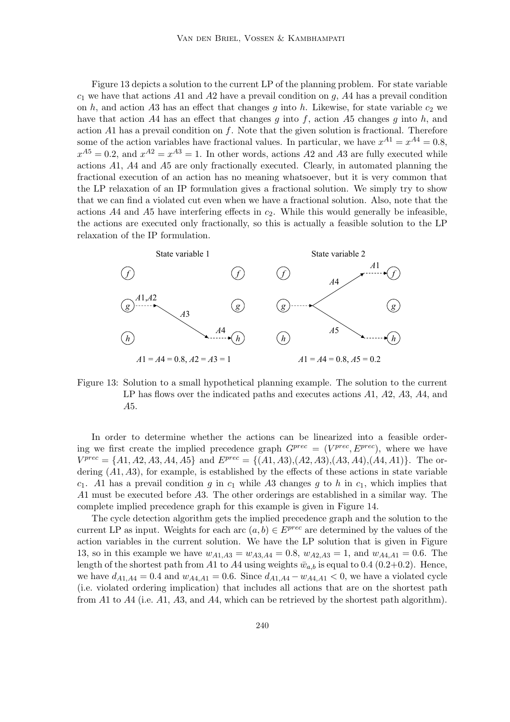Figure 13 depicts a solution to the current LP of the planning problem. For state variable  $c_1$  we have that actions A1 and A2 have a prevail condition on g, A4 has a prevail condition on h, and action A3 has an effect that changes g into h. Likewise, for state variable  $c_2$  we have that action A4 has an effect that changes q into f, action A5 changes q into h, and action A1 has a prevail condition on  $f$ . Note that the given solution is fractional. Therefore some of the action variables have fractional values. In particular, we have  $x^{A1} = x^{A4} = 0.8$ ,  $x^{A5} = 0.2$ , and  $x^{A2} = x^{A3} = 1$ . In other words, actions A2 and A3 are fully executed while actions A1, A4 and A5 are only fractionally executed. Clearly, in automated planning the fractional execution of an action has no meaning whatsoever, but it is very common that the LP relaxation of an IP formulation gives a fractional solution. We simply try to show that we can find a violated cut even when we have a fractional solution. Also, note that the actions  $A4$  and  $A5$  have interfering effects in  $c_2$ . While this would generally be infeasible, the actions are executed only fractionally, so this is actually a feasible solution to the LP relaxation of the IP formulation.



Figure 13: Solution to a small hypothetical planning example. The solution to the current LP has flows over the indicated paths and executes actions  $A1$ ,  $A2$ ,  $A3$ ,  $A4$ , and A5.

In order to determine whether the actions can be linearized into a feasible ordering we first create the implied precedence graph  $G^{prec} = (V^{prec}, E^{prec})$ , where we have  $V^{prec} = \{A1, A2, A3, A4, A5\}$  and  $E^{prec} = \{(A1, A3), (A2, A3), (A3, A4), (A4, A1)\}.$  The ordering  $(A1, A3)$ , for example, is established by the effects of these actions in state variable  $c_1$ . A1 has a prevail condition g in  $c_1$  while A3 changes g to h in  $c_1$ , which implies that A1 must be executed before A3. The other orderings are established in a similar way. The complete implied precedence graph for this example is given in Figure 14.

The cycle detection algorithm gets the implied precedence graph and the solution to the current LP as input. Weights for each arc  $(a, b) \in E^{prec}$  are determined by the values of the action variables in the current solution. We have the LP solution that is given in Figure 13, so in this example we have  $w_{A1,A3} = w_{A3,A4} = 0.8$ ,  $w_{A2,A3} = 1$ , and  $w_{A4,A1} = 0.6$ . The length of the shortest path from A1 to A4 using weights  $\bar{w}_{a,b}$  is equal to 0.4 (0.2+0.2). Hence, we have  $d_{A1,A4} = 0.4$  and  $w_{A4,A1} = 0.6$ . Since  $d_{A1,A4} - w_{A4,A1} < 0$ , we have a violated cycle (i.e. violated ordering implication) that includes all actions that are on the shortest path from A1 to A4 (i.e. A1, A3, and A4, which can be retrieved by the shortest path algorithm).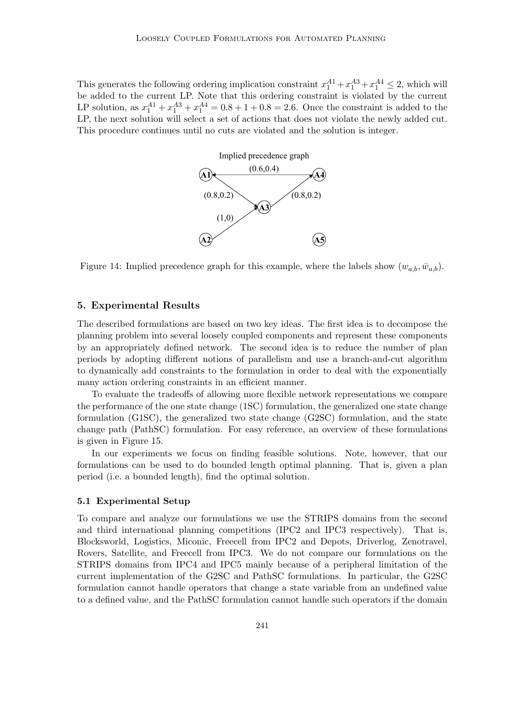This generates the following ordering implication constraint  $x_1^{A1} + x_1^{A3} + x_1^{A4} \le 2$ , which will be added to the current LP. Note that this ordering constraint is violated by the current LP solution, as  $x_1^{A1} + x_1^{A3} + x_1^{A4} = 0.8 + 1 + 0.8 = 2.6$ . Once the constraint is added to the LP, the next solution will select a set of actions that does not violate the newly added cut. This procedure continues until no cuts are violated and the solution is integer.



Figure 14: Implied precedence graph for this example, where the labels show  $(w_{a,b}, \bar{w}_{a,b})$ .

# 5. Experimental Results

The described formulations are based on two key ideas. The first idea is to decompose the planning problem into several loosely coupled components and represent these components by an appropriately defined network. The second idea is to reduce the number of plan periods by adopting different notions of parallelism and use a branch-and-cut algorithm to dynamically add constraints to the formulation in order to deal with the exponentially many action ordering constraints in an efficient manner.

To evaluate the tradeoffs of allowing more flexible network representations we compare the performance of the one state change (1SC) formulation, the generalized one state change formulation (G1SC), the generalized two state change (G2SC) formulation, and the state change path (PathSC) formulation. For easy reference, an overview of these formulations is given in Figure 15.

In our experiments we focus on finding feasible solutions. Note, however, that our formulations can be used to do bounded length optimal planning. That is, given a plan period (i.e. a bounded length), find the optimal solution.

# 5.1 Experimental Setup

To compare and analyze our formulations we use the STRIPS domains from the second and third international planning competitions (IPC2 and IPC3 respectively). That is, Blocksworld, Logistics, Miconic, Freecell from IPC2 and Depots, Driverlog, Zenotravel, Rovers, Satellite, and Freecell from IPC3. We do not compare our formulations on the STRIPS domains from IPC4 and IPC5 mainly because of a peripheral limitation of the current implementation of the G2SC and PathSC formulations. In particular, the G2SC formulation cannot handle operators that change a state variable from an undefined value to a defined value, and the PathSC formulation cannot handle such operators if the domain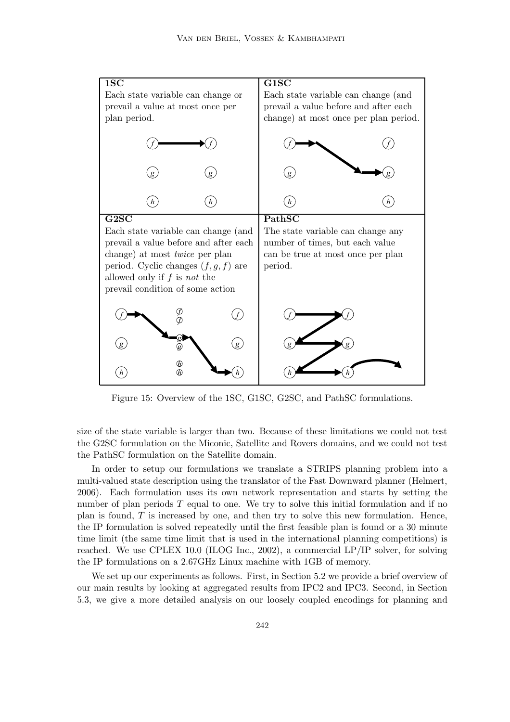

Figure 15: Overview of the 1SC, G1SC, G2SC, and PathSC formulations.

size of the state variable is larger than two. Because of these limitations we could not test the G2SC formulation on the Miconic, Satellite and Rovers domains, and we could not test the PathSC formulation on the Satellite domain.

In order to setup our formulations we translate a STRIPS planning problem into a multi-valued state description using the translator of the Fast Downward planner (Helmert, 2006). Each formulation uses its own network representation and starts by setting the number of plan periods  $T$  equal to one. We try to solve this initial formulation and if no plan is found,  $T$  is increased by one, and then try to solve this new formulation. Hence, the IP formulation is solved repeatedly until the first feasible plan is found or a 30 minute time limit (the same time limit that is used in the international planning competitions) is reached. We use CPLEX 10.0 (ILOG Inc., 2002), a commercial LP/IP solver, for solving the IP formulations on a 2.67GHz Linux machine with 1GB of memory.

We set up our experiments as follows. First, in Section 5.2 we provide a brief overview of our main results by looking at aggregated results from IPC2 and IPC3. Second, in Section 5.3, we give a more detailed analysis on our loosely coupled encodings for planning and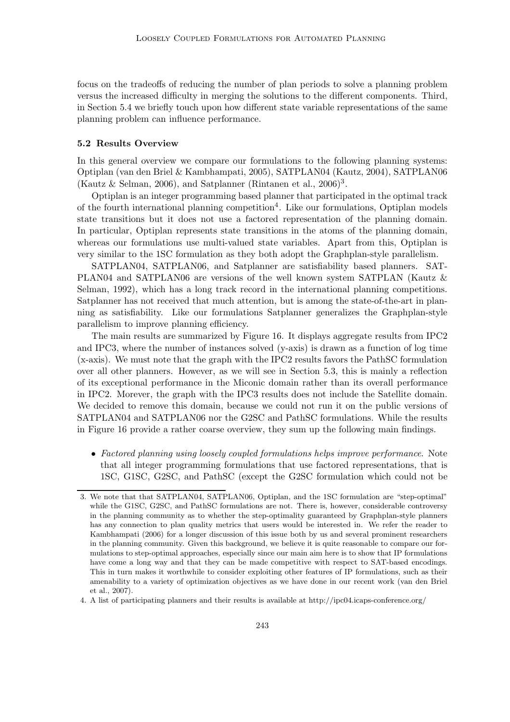focus on the tradeoffs of reducing the number of plan periods to solve a planning problem versus the increased difficulty in merging the solutions to the different components. Third, in Section 5.4 we briefly touch upon how different state variable representations of the same planning problem can influence performance.

#### 5.2 Results Overview

In this general overview we compare our formulations to the following planning systems: Optiplan (van den Briel & Kambhampati, 2005), SATPLAN04 (Kautz, 2004), SATPLAN06 (Kautz & Selman, 2006), and Satplanner (Rintanen et al., 2006)<sup>3</sup> .

Optiplan is an integer programming based planner that participated in the optimal track of the fourth international planning competition<sup>4</sup>. Like our formulations, Optiplan models state transitions but it does not use a factored representation of the planning domain. In particular, Optiplan represents state transitions in the atoms of the planning domain, whereas our formulations use multi-valued state variables. Apart from this, Optiplan is very similar to the 1SC formulation as they both adopt the Graphplan-style parallelism.

SATPLAN04, SATPLAN06, and Satplanner are satisfiability based planners. SAT-PLAN04 and SATPLAN06 are versions of the well known system SATPLAN (Kautz & Selman, 1992), which has a long track record in the international planning competitions. Satplanner has not received that much attention, but is among the state-of-the-art in planning as satisfiability. Like our formulations Satplanner generalizes the Graphplan-style parallelism to improve planning efficiency.

The main results are summarized by Figure 16. It displays aggregate results from IPC2 and IPC3, where the number of instances solved (y-axis) is drawn as a function of log time (x-axis). We must note that the graph with the IPC2 results favors the PathSC formulation over all other planners. However, as we will see in Section 5.3, this is mainly a reflection of its exceptional performance in the Miconic domain rather than its overall performance in IPC2. Morever, the graph with the IPC3 results does not include the Satellite domain. We decided to remove this domain, because we could not run it on the public versions of SATPLAN04 and SATPLAN06 nor the G2SC and PathSC formulations. While the results in Figure 16 provide a rather coarse overview, they sum up the following main findings.

• Factored planning using loosely coupled formulations helps improve performance. Note that all integer programming formulations that use factored representations, that is 1SC, G1SC, G2SC, and PathSC (except the G2SC formulation which could not be

<sup>3.</sup> We note that that SATPLAN04, SATPLAN06, Optiplan, and the 1SC formulation are "step-optimal" while the G1SC, G2SC, and PathSC formulations are not. There is, however, considerable controversy in the planning community as to whether the step-optimality guaranteed by Graphplan-style planners has any connection to plan quality metrics that users would be interested in. We refer the reader to Kambhampati (2006) for a longer discussion of this issue both by us and several prominent researchers in the planning community. Given this background, we believe it is quite reasonable to compare our formulations to step-optimal approaches, especially since our main aim here is to show that IP formulations have come a long way and that they can be made competitive with respect to SAT-based encodings. This in turn makes it worthwhile to consider exploiting other features of IP formulations, such as their amenability to a variety of optimization objectives as we have done in our recent work (van den Briel et al., 2007).

<sup>4.</sup> A list of participating planners and their results is available at http://ipc04.icaps-conference.org/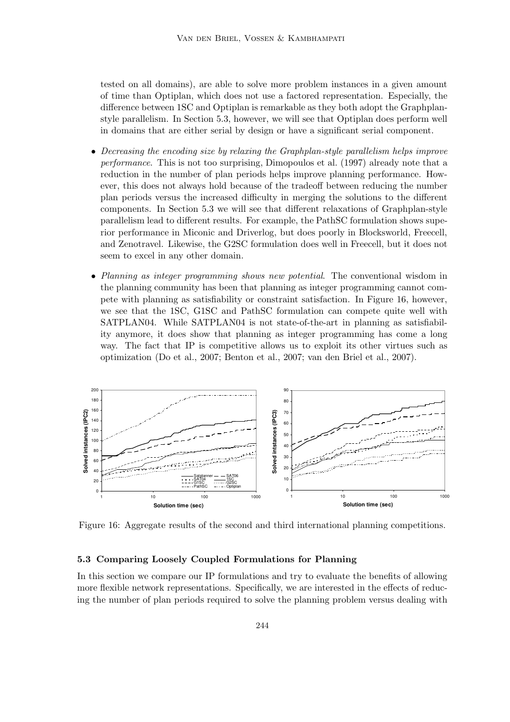tested on all domains), are able to solve more problem instances in a given amount of time than Optiplan, which does not use a factored representation. Especially, the difference between 1SC and Optiplan is remarkable as they both adopt the Graphplanstyle parallelism. In Section 5.3, however, we will see that Optiplan does perform well in domains that are either serial by design or have a significant serial component.

- Decreasing the encoding size by relaxing the Graphplan-style parallelism helps improve performance. This is not too surprising, Dimopoulos et al. (1997) already note that a reduction in the number of plan periods helps improve planning performance. However, this does not always hold because of the tradeoff between reducing the number plan periods versus the increased difficulty in merging the solutions to the different components. In Section 5.3 we will see that different relaxations of Graphplan-style parallelism lead to different results. For example, the PathSC formulation shows superior performance in Miconic and Driverlog, but does poorly in Blocksworld, Freecell, and Zenotravel. Likewise, the G2SC formulation does well in Freecell, but it does not seem to excel in any other domain.
- Planning as integer programming shows new potential. The conventional wisdom in the planning community has been that planning as integer programming cannot compete with planning as satisfiability or constraint satisfaction. In Figure 16, however, we see that the 1SC, G1SC and PathSC formulation can compete quite well with SATPLAN04. While SATPLAN04 is not state-of-the-art in planning as satisfiability anymore, it does show that planning as integer programming has come a long way. The fact that IP is competitive allows us to exploit its other virtues such as optimization (Do et al., 2007; Benton et al., 2007; van den Briel et al., 2007).



Figure 16: Aggregate results of the second and third international planning competitions.

# 5.3 Comparing Loosely Coupled Formulations for Planning

In this section we compare our IP formulations and try to evaluate the benefits of allowing more flexible network representations. Specifically, we are interested in the effects of reducing the number of plan periods required to solve the planning problem versus dealing with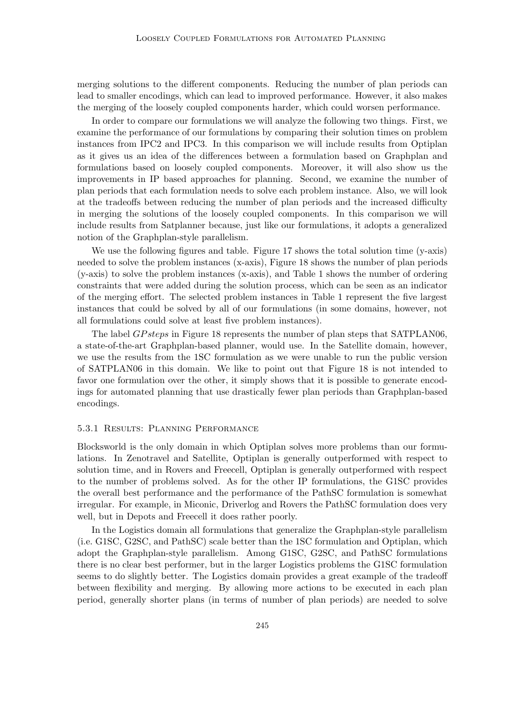merging solutions to the different components. Reducing the number of plan periods can lead to smaller encodings, which can lead to improved performance. However, it also makes the merging of the loosely coupled components harder, which could worsen performance.

In order to compare our formulations we will analyze the following two things. First, we examine the performance of our formulations by comparing their solution times on problem instances from IPC2 and IPC3. In this comparison we will include results from Optiplan as it gives us an idea of the differences between a formulation based on Graphplan and formulations based on loosely coupled components. Moreover, it will also show us the improvements in IP based approaches for planning. Second, we examine the number of plan periods that each formulation needs to solve each problem instance. Also, we will look at the tradeoffs between reducing the number of plan periods and the increased difficulty in merging the solutions of the loosely coupled components. In this comparison we will include results from Satplanner because, just like our formulations, it adopts a generalized notion of the Graphplan-style parallelism.

We use the following figures and table. Figure 17 shows the total solution time (y-axis) needed to solve the problem instances (x-axis), Figure 18 shows the number of plan periods (y-axis) to solve the problem instances (x-axis), and Table 1 shows the number of ordering constraints that were added during the solution process, which can be seen as an indicator of the merging effort. The selected problem instances in Table 1 represent the five largest instances that could be solved by all of our formulations (in some domains, however, not all formulations could solve at least five problem instances).

The label *GPsteps* in Figure 18 represents the number of plan steps that SATPLAN06, a state-of-the-art Graphplan-based planner, would use. In the Satellite domain, however, we use the results from the 1SC formulation as we were unable to run the public version of SATPLAN06 in this domain. We like to point out that Figure 18 is not intended to favor one formulation over the other, it simply shows that it is possible to generate encodings for automated planning that use drastically fewer plan periods than Graphplan-based encodings.

#### 5.3.1 Results: Planning Performance

Blocksworld is the only domain in which Optiplan solves more problems than our formulations. In Zenotravel and Satellite, Optiplan is generally outperformed with respect to solution time, and in Rovers and Freecell, Optiplan is generally outperformed with respect to the number of problems solved. As for the other IP formulations, the G1SC provides the overall best performance and the performance of the PathSC formulation is somewhat irregular. For example, in Miconic, Driverlog and Rovers the PathSC formulation does very well, but in Depots and Freecell it does rather poorly.

In the Logistics domain all formulations that generalize the Graphplan-style parallelism (i.e. G1SC, G2SC, and PathSC) scale better than the 1SC formulation and Optiplan, which adopt the Graphplan-style parallelism. Among G1SC, G2SC, and PathSC formulations there is no clear best performer, but in the larger Logistics problems the G1SC formulation seems to do slightly better. The Logistics domain provides a great example of the tradeoff between flexibility and merging. By allowing more actions to be executed in each plan period, generally shorter plans (in terms of number of plan periods) are needed to solve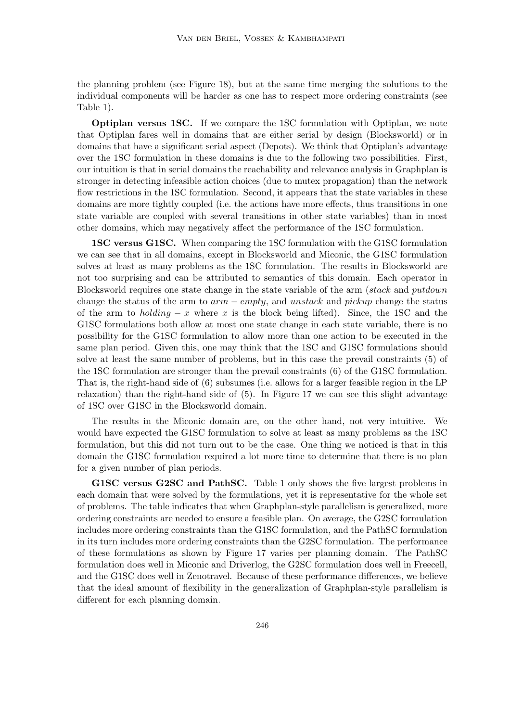the planning problem (see Figure 18), but at the same time merging the solutions to the individual components will be harder as one has to respect more ordering constraints (see Table 1).

Optiplan versus 1SC. If we compare the 1SC formulation with Optiplan, we note that Optiplan fares well in domains that are either serial by design (Blocksworld) or in domains that have a significant serial aspect (Depots). We think that Optiplan's advantage over the 1SC formulation in these domains is due to the following two possibilities. First, our intuition is that in serial domains the reachability and relevance analysis in Graphplan is stronger in detecting infeasible action choices (due to mutex propagation) than the network flow restrictions in the 1SC formulation. Second, it appears that the state variables in these domains are more tightly coupled (i.e. the actions have more effects, thus transitions in one state variable are coupled with several transitions in other state variables) than in most other domains, which may negatively affect the performance of the 1SC formulation.

1SC versus G1SC. When comparing the 1SC formulation with the G1SC formulation we can see that in all domains, except in Blocksworld and Miconic, the G1SC formulation solves at least as many problems as the 1SC formulation. The results in Blocksworld are not too surprising and can be attributed to semantics of this domain. Each operator in Blocksworld requires one state change in the state variable of the arm (stack and putdown change the status of the arm to  $arm - empty$ , and unstack and pickup change the status of the arm to *holding – x* where x is the block being lifted). Since, the 1SC and the G1SC formulations both allow at most one state change in each state variable, there is no possibility for the G1SC formulation to allow more than one action to be executed in the same plan period. Given this, one may think that the 1SC and G1SC formulations should solve at least the same number of problems, but in this case the prevail constraints (5) of the 1SC formulation are stronger than the prevail constraints (6) of the G1SC formulation. That is, the right-hand side of (6) subsumes (i.e. allows for a larger feasible region in the LP relaxation) than the right-hand side of (5). In Figure 17 we can see this slight advantage of 1SC over G1SC in the Blocksworld domain.

The results in the Miconic domain are, on the other hand, not very intuitive. We would have expected the G1SC formulation to solve at least as many problems as the 1SC formulation, but this did not turn out to be the case. One thing we noticed is that in this domain the G1SC formulation required a lot more time to determine that there is no plan for a given number of plan periods.

G1SC versus G2SC and PathSC. Table 1 only shows the five largest problems in each domain that were solved by the formulations, yet it is representative for the whole set of problems. The table indicates that when Graphplan-style parallelism is generalized, more ordering constraints are needed to ensure a feasible plan. On average, the G2SC formulation includes more ordering constraints than the G1SC formulation, and the PathSC formulation in its turn includes more ordering constraints than the G2SC formulation. The performance of these formulations as shown by Figure 17 varies per planning domain. The PathSC formulation does well in Miconic and Driverlog, the G2SC formulation does well in Freecell, and the G1SC does well in Zenotravel. Because of these performance differences, we believe that the ideal amount of flexibility in the generalization of Graphplan-style parallelism is different for each planning domain.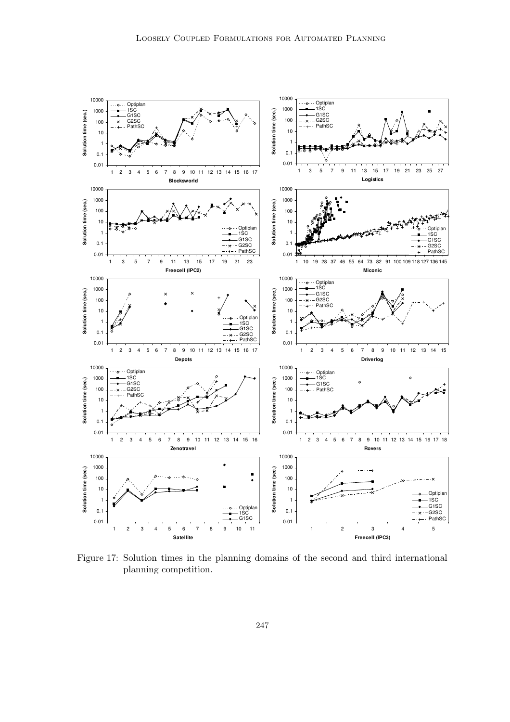

Figure 17: Solution times in the planning domains of the second and third international planning competition.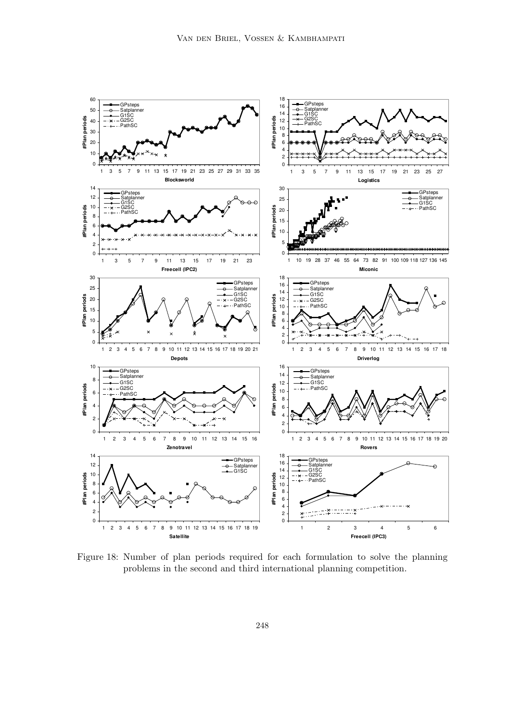

Figure 18: Number of plan periods required for each formulation to solve the planning problems in the second and third international planning competition.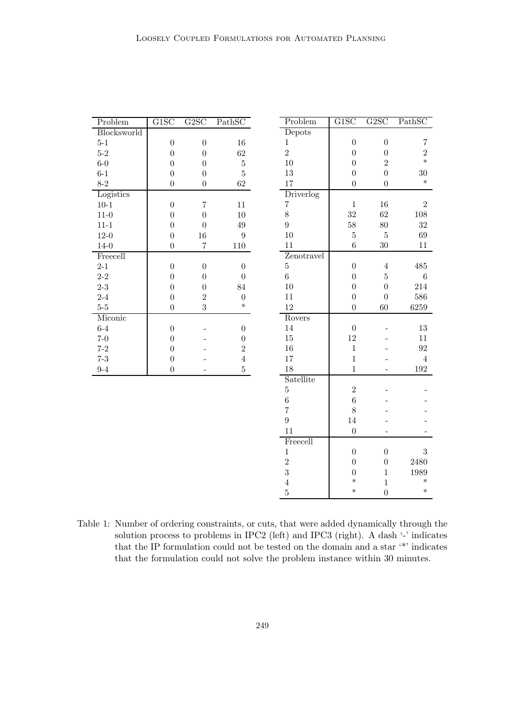| Problem     | G1SC             | G2SC                     | PathSC           | Problem        | G1SC             | G2SC             | PathSC            |
|-------------|------------------|--------------------------|------------------|----------------|------------------|------------------|-------------------|
| Blocksworld |                  |                          |                  | Depots         |                  |                  |                   |
| $5-1$       | $\boldsymbol{0}$ | $\boldsymbol{0}$         | $16\,$           | $\,1$          | $\boldsymbol{0}$ | $\boldsymbol{0}$ | 7                 |
| $5-2\,$     | $\boldsymbol{0}$ | $\boldsymbol{0}$         | 62               | $\overline{2}$ | $\boldsymbol{0}$ | $\boldsymbol{0}$ | $\,2$             |
| $6-0$       | $\boldsymbol{0}$ | $\overline{0}$           | $\bf 5$          | 10             | $\boldsymbol{0}$ | $\overline{2}$   | $\ast$            |
| $6-1$       | $\boldsymbol{0}$ | $\overline{0}$           | $\bf 5$          | 13             | $\boldsymbol{0}$ | $\boldsymbol{0}$ | $30\,$            |
| $8 - 2$     | $\boldsymbol{0}$ | $\boldsymbol{0}$         | 62               | 17             | $\boldsymbol{0}$ | $\boldsymbol{0}$ | $\ast$            |
| Logistics   |                  |                          |                  | Driverlog      |                  |                  |                   |
| $10 - 1$    | $\boldsymbol{0}$ | $\bf 7$                  | 11               | $\overline{7}$ | $\,1\,$          | $16\,$           | $\overline{2}$    |
| $11-0$      | $\overline{0}$   | $\boldsymbol{0}$         | 10               | 8              | 32               | 62               | 108               |
| $11 - 1$    | $\overline{0}$   | $\overline{0}$           | 49               | $\overline{9}$ | $58\,$           | $80\,$           | $32\,$            |
| $12 - 0$    | $\boldsymbol{0}$ | 16                       | $\boldsymbol{9}$ | 10             | $\bf 5$          | $\bf 5$          | $69\,$            |
| $14 - 0$    | $\boldsymbol{0}$ | $\overline{7}$           | $110\,$          | 11             | $\,6\,$          | $30\,$           | $11\,$            |
| Freecell    |                  |                          |                  | Zenotravel     |                  |                  |                   |
| $2 - 1$     | $\boldsymbol{0}$ | $\boldsymbol{0}$         | $\boldsymbol{0}$ | $\overline{5}$ | $\boldsymbol{0}$ | $\,4\,$          | $\!485$           |
| $2 - 2$     | $\boldsymbol{0}$ | $\boldsymbol{0}$         | $\overline{0}$   | $\sqrt{6}$     | $\boldsymbol{0}$ | $\bf 5$          | $\,6\,$           |
| $2-3$       | $\boldsymbol{0}$ | $\boldsymbol{0}$         | 84               | $10\,$         | $\overline{0}$   | $\overline{0}$   | 214               |
| $2 - 4$     | $\boldsymbol{0}$ | $\overline{2}$           | $\boldsymbol{0}$ | 11             | $\overline{0}$   | $\boldsymbol{0}$ | 586               |
| $5-5$       | $\boldsymbol{0}$ | 3                        | $\ast$           | 12             | $\overline{0}$   | $60\,$           | 6259              |
| Miconic     |                  |                          |                  | Rovers         |                  |                  |                   |
| $6-4$       | $\boldsymbol{0}$ | $\overline{\phantom{0}}$ | $\boldsymbol{0}$ | $14\,$         | $\boldsymbol{0}$ |                  | $13\,$            |
| $7-0$       | $\boldsymbol{0}$ | $\overline{a}$           | $\boldsymbol{0}$ | $15\,$         | $12\,$           |                  | 11                |
| $7 - 2$     | $\boldsymbol{0}$ |                          | $\sqrt{2}$       | $16\,$         | $\,1\,$          |                  | $\boldsymbol{92}$ |
| $7 - 3$     | $\boldsymbol{0}$ |                          | $\overline{4}$   | $17\,$         | $\,1\,$          |                  | $\overline{4}$    |
| $9 - 4$     | $\overline{0}$   | $\overline{a}$           | $\overline{5}$   | 18             | $\mathbf 1$      |                  | $192\,$           |
|             |                  |                          |                  | Satellite      |                  |                  |                   |
|             |                  |                          |                  | $\overline{5}$ | $\,2$            |                  |                   |
|             |                  |                          |                  | $\,$ 6 $\,$    | $\overline{6}$   |                  |                   |
|             |                  |                          |                  | $\overline{7}$ | 8                |                  |                   |
|             |                  |                          |                  | $\overline{9}$ | $14\,$           |                  |                   |
|             |                  |                          |                  | 11             | $\boldsymbol{0}$ |                  |                   |
|             |                  |                          |                  | Freecell       |                  |                  |                   |
|             |                  |                          |                  | $\,1$          | $\boldsymbol{0}$ | $\boldsymbol{0}$ | 3                 |
|             |                  |                          |                  | $\overline{2}$ | $\boldsymbol{0}$ | $\boldsymbol{0}$ | 2480              |
|             |                  |                          |                  | 3              | $\boldsymbol{0}$ | $\,1\,$          | $1989\,$          |
|             |                  |                          |                  | $\overline{4}$ | $\ast$           | $\,1\,$          | $\ast$            |
|             |                  |                          |                  | $\overline{5}$ | $\ast$           | $\overline{0}$   | $\ast$            |

Table 1: Number of ordering constraints, or cuts, that were added dynamically through the solution process to problems in IPC2 (left) and IPC3 (right). A dash '-' indicates that the IP formulation could not be tested on the domain and a star '\*' indicates that the formulation could not solve the problem instance within 30 minutes.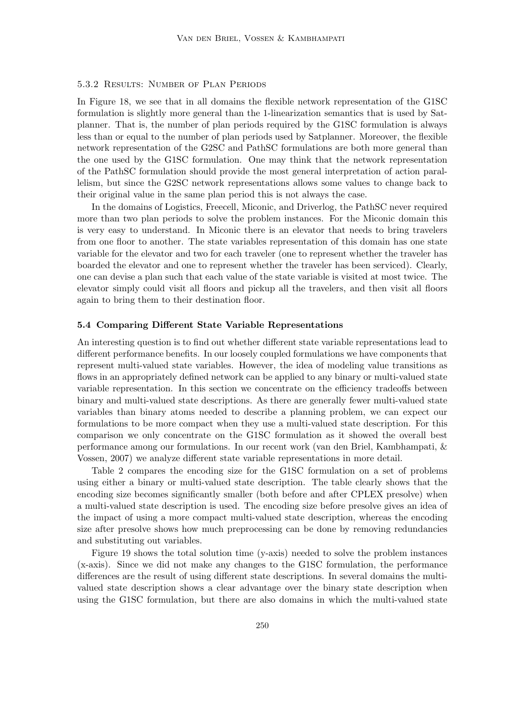# 5.3.2 Results: Number of Plan Periods

In Figure 18, we see that in all domains the flexible network representation of the G1SC formulation is slightly more general than the 1-linearization semantics that is used by Satplanner. That is, the number of plan periods required by the G1SC formulation is always less than or equal to the number of plan periods used by Satplanner. Moreover, the flexible network representation of the G2SC and PathSC formulations are both more general than the one used by the G1SC formulation. One may think that the network representation of the PathSC formulation should provide the most general interpretation of action parallelism, but since the G2SC network representations allows some values to change back to their original value in the same plan period this is not always the case.

In the domains of Logistics, Freecell, Miconic, and Driverlog, the PathSC never required more than two plan periods to solve the problem instances. For the Miconic domain this is very easy to understand. In Miconic there is an elevator that needs to bring travelers from one floor to another. The state variables representation of this domain has one state variable for the elevator and two for each traveler (one to represent whether the traveler has boarded the elevator and one to represent whether the traveler has been serviced). Clearly, one can devise a plan such that each value of the state variable is visited at most twice. The elevator simply could visit all floors and pickup all the travelers, and then visit all floors again to bring them to their destination floor.

# 5.4 Comparing Different State Variable Representations

An interesting question is to find out whether different state variable representations lead to different performance benefits. In our loosely coupled formulations we have components that represent multi-valued state variables. However, the idea of modeling value transitions as flows in an appropriately defined network can be applied to any binary or multi-valued state variable representation. In this section we concentrate on the efficiency tradeoffs between binary and multi-valued state descriptions. As there are generally fewer multi-valued state variables than binary atoms needed to describe a planning problem, we can expect our formulations to be more compact when they use a multi-valued state description. For this comparison we only concentrate on the G1SC formulation as it showed the overall best performance among our formulations. In our recent work (van den Briel, Kambhampati, & Vossen, 2007) we analyze different state variable representations in more detail.

Table 2 compares the encoding size for the G1SC formulation on a set of problems using either a binary or multi-valued state description. The table clearly shows that the encoding size becomes significantly smaller (both before and after CPLEX presolve) when a multi-valued state description is used. The encoding size before presolve gives an idea of the impact of using a more compact multi-valued state description, whereas the encoding size after presolve shows how much preprocessing can be done by removing redundancies and substituting out variables.

Figure 19 shows the total solution time (y-axis) needed to solve the problem instances (x-axis). Since we did not make any changes to the G1SC formulation, the performance differences are the result of using different state descriptions. In several domains the multivalued state description shows a clear advantage over the binary state description when using the G1SC formulation, but there are also domains in which the multi-valued state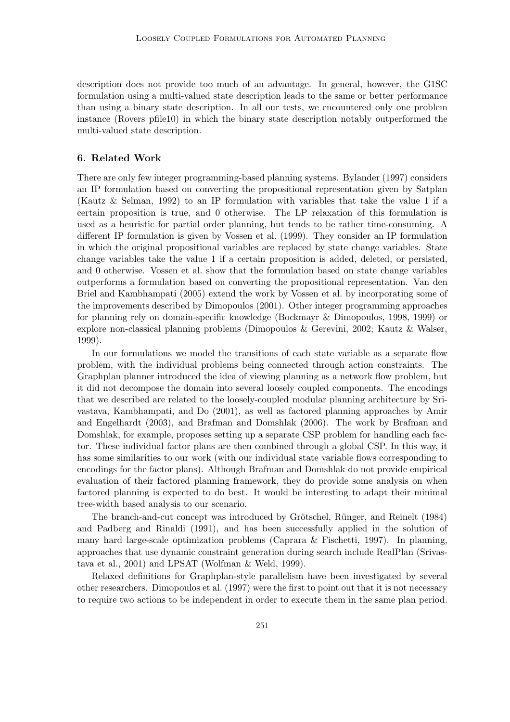description does not provide too much of an advantage. In general, however, the G1SC formulation using a multi-valued state description leads to the same or better performance than using a binary state description. In all our tests, we encountered only one problem instance (Rovers pfile10) in which the binary state description notably outperformed the multi-valued state description.

# 6. Related Work

There are only few integer programming-based planning systems. Bylander (1997) considers an IP formulation based on converting the propositional representation given by Satplan (Kautz & Selman, 1992) to an IP formulation with variables that take the value 1 if a certain proposition is true, and 0 otherwise. The LP relaxation of this formulation is used as a heuristic for partial order planning, but tends to be rather time-consuming. A different IP formulation is given by Vossen et al. (1999). They consider an IP formulation in which the original propositional variables are replaced by state change variables. State change variables take the value 1 if a certain proposition is added, deleted, or persisted, and 0 otherwise. Vossen et al. show that the formulation based on state change variables outperforms a formulation based on converting the propositional representation. Van den Briel and Kambhampati (2005) extend the work by Vossen et al. by incorporating some of the improvements described by Dimopoulos (2001). Other integer programming approaches for planning rely on domain-specific knowledge (Bockmayr & Dimopoulos, 1998, 1999) or explore non-classical planning problems (Dimopoulos & Gerevini, 2002; Kautz & Walser, 1999).

In our formulations we model the transitions of each state variable as a separate flow problem, with the individual problems being connected through action constraints. The Graphplan planner introduced the idea of viewing planning as a network flow problem, but it did not decompose the domain into several loosely coupled components. The encodings that we described are related to the loosely-coupled modular planning architecture by Srivastava, Kambhampati, and Do (2001), as well as factored planning approaches by Amir and Engelhardt (2003), and Brafman and Domshlak (2006). The work by Brafman and Domshlak, for example, proposes setting up a separate CSP problem for handling each factor. These individual factor plans are then combined through a global CSP. In this way, it has some similarities to our work (with our individual state variable flows corresponding to encodings for the factor plans). Although Brafman and Domshlak do not provide empirical evaluation of their factored planning framework, they do provide some analysis on when factored planning is expected to do best. It would be interesting to adapt their minimal tree-width based analysis to our scenario.

The branch-and-cut concept was introduced by Grötschel, Rünger, and Reinelt (1984) and Padberg and Rinaldi (1991), and has been successfully applied in the solution of many hard large-scale optimization problems (Caprara & Fischetti, 1997). In planning, approaches that use dynamic constraint generation during search include RealPlan (Srivastava et al., 2001) and LPSAT (Wolfman & Weld, 1999).

Relaxed definitions for Graphplan-style parallelism have been investigated by several other researchers. Dimopoulos et al. (1997) were the first to point out that it is not necessary to require two actions to be independent in order to execute them in the same plan period.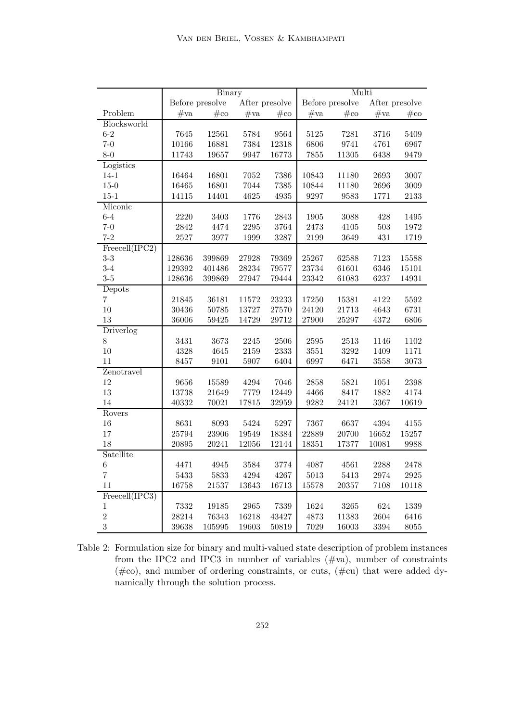|                |                 | Binary    |                |        | Multi           |        |                |        |
|----------------|-----------------|-----------|----------------|--------|-----------------|--------|----------------|--------|
|                | Before presolve |           | After presolve |        | Before presolve |        | After presolve |        |
| Problem        | $\#\text{va}$   | $#$ co    | #va            | $#$ co | $\#\text{va}$   | $#$ co | #va            | $#$ co |
| Blocksworld    |                 |           |                |        |                 |        |                |        |
| $6 - 2$        | 7645            | 12561     | 5784           | 9564   | 5125            | 7281   | 3716           | 5409   |
| $7 - 0$        | 10166           | 16881     | 7384           | 12318  | 6806            | 9741   | 4761           | 6967   |
| $8 - 0$        | 11743           | 19657     | 9947           | 16773  | 7855            | 11305  | 6438           | 9479   |
| Logistics      |                 |           |                |        |                 |        |                |        |
| $14 - 1$       | 16464           | 16801     | 7052           | 7386   | 10843           | 11180  | 2693           | 3007   |
| $15 - 0$       | 16465           | 16801     | 7044           | 7385   | 10844           | 11180  | 2696           | 3009   |
| $15 - 1$       | 14115           | 14401     | 4625           | 4935   | 9297            | 9583   | 1771           | 2133   |
| Miconic        |                 |           |                |        |                 |        |                |        |
| $6 - 4$        | 2220            | 3403      | $1776\,$       | 2843   | 1905            | 3088   | $428\,$        | 1495   |
| $7 - 0$        | 2842            | 4474      | 2295           | 3764   | 2473            | 4105   | $503\,$        | 1972   |
| $7 - 2$        | 2527            | 3977      | 1999           | 3287   | 2199            | 3649   | 431            | 1719   |
| Freeell(IPC2)  |                 |           |                |        |                 |        |                |        |
| $3-3$          | 128636          | 399869    | 27928          | 79369  | 25267           | 62588  | 7123           | 15588  |
| $3-4$          | 129392          | 401486    | 28234          | 79577  | 23734           | 61601  | 6346           | 15101  |
| $3-5$          | 128636          | 399869    | 27947          | 79444  | 23342           | 61083  | 6237           | 14931  |
| Depots         |                 |           |                |        |                 |        |                |        |
| $\overline{7}$ | 21845           | 36181     | 11572          | 23233  | 17250           | 15381  | 4122           | 5592   |
| 10             | 30436           | 50785     | 13727          | 27570  | 24120           | 21713  | 4643           | 6731   |
| 13             | 36006           | 59425     | 14729          | 29712  | 27900           | 25297  | 4372           | 6806   |
| Driverlog      |                 |           |                |        |                 |        |                |        |
| 8              | 3431            | 3673      | $2245\,$       | 2506   | 2595            | 2513   | 1146           | 1102   |
| 10             | 4328            | 4645      | 2159           | 2333   | 3551            | 3292   | 1409           | 1171   |
| 11             | 8457            | 9101      | 5907           | 6404   | 6997            | 6471   | 3558           | 3073   |
| Zenotravel     |                 |           |                |        |                 |        |                |        |
| 12             | 9656            | 15589     | 4294           | 7046   | 2858            | 5821   | 1051           | 2398   |
| 13             | 13738           | 21649     | 7779           | 12449  | 4466            | 8417   | 1882           | 4174   |
| 14             | 40332           | $70021\,$ | $17815\,$      | 32959  | 9282            | 24121  | 3367           | 10619  |
| Rovers         |                 |           |                |        |                 |        |                |        |
| 16             | 8631            | 8093      | 5424           | 5297   | 7367            | 6637   | 4394           | 4155   |
| 17             | 25794           | 23906     | 19549          | 18384  | 22889           | 20700  | 16652          | 15257  |
| 18             | 20895           | 20241     | 12056          | 12144  | 18351           | 17377  | 10081          | 9988   |
| Satellite      |                 |           |                |        |                 |        |                |        |
| $\,6$          | 4471            | 4945      | 3584           | 3774   | 4087            | 4561   | 2288           | 2478   |
| $\overline{7}$ | 5433            | 5833      | 4294           | 4267   | 5013            | 5413   | 2974           | 2925   |
| 11             | 16758           | 21537     | 13643          | 16713  | 15578           | 20357  | 7108           | 10118  |
| Freecell(IPC3) |                 |           |                |        |                 |        |                |        |
| $\,1$          | 7332            | 19185     | 2965           | 7339   | 1624            | 3265   | 624            | 1339   |
| $\overline{2}$ | 28214           | 76343     | 16218          | 43427  | 4873            | 11383  | 2604           | 6416   |
| 3              | 39638           | 105995    | 19603          | 50819  | 7029            | 16003  | 3394           | 8055   |

Table 2: Formulation size for binary and multi-valued state description of problem instances from the IPC2 and IPC3 in number of variables  $(\text{\#va})$ , number of constraints  $(\text{\#co})$ , and number of ordering constraints, or cuts,  $(\text{\#cu})$  that were added dynamically through the solution process.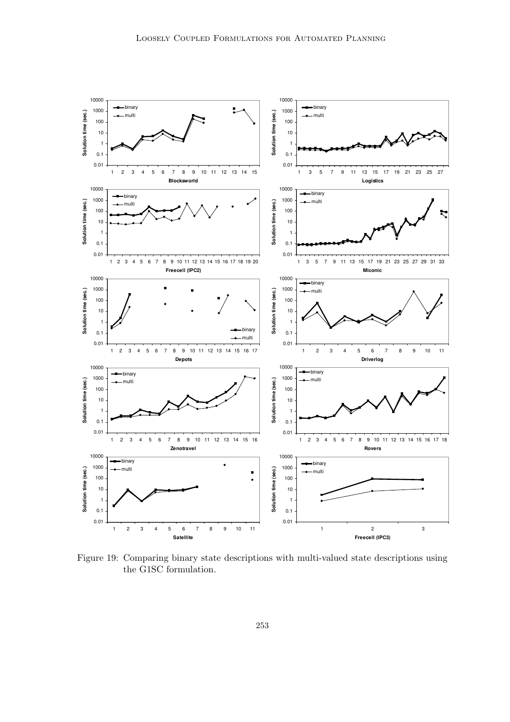

Figure 19: Comparing binary state descriptions with multi-valued state descriptions using the G1SC formulation.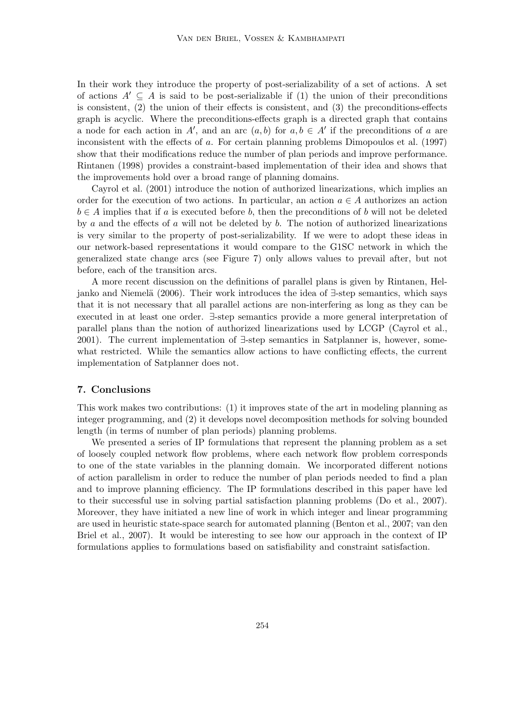In their work they introduce the property of post-serializability of a set of actions. A set of actions  $A' \subseteq A$  is said to be post-serializable if (1) the union of their preconditions is consistent, (2) the union of their effects is consistent, and (3) the preconditions-effects graph is acyclic. Where the preconditions-effects graph is a directed graph that contains a node for each action in A', and an arc  $(a, b)$  for  $a, b \in A'$  if the preconditions of a are inconsistent with the effects of a. For certain planning problems Dimopoulos et al. (1997) show that their modifications reduce the number of plan periods and improve performance. Rintanen (1998) provides a constraint-based implementation of their idea and shows that the improvements hold over a broad range of planning domains.

Cayrol et al. (2001) introduce the notion of authorized linearizations, which implies an order for the execution of two actions. In particular, an action  $a \in A$  authorizes an action  $b \in A$  implies that if a is executed before b, then the preconditions of b will not be deleted by a and the effects of a will not be deleted by  $b$ . The notion of authorized linearizations is very similar to the property of post-serializability. If we were to adopt these ideas in our network-based representations it would compare to the G1SC network in which the generalized state change arcs (see Figure 7) only allows values to prevail after, but not before, each of the transition arcs.

A more recent discussion on the definitions of parallel plans is given by Rintanen, Heljanko and Niemelä (2006). Their work introduces the idea of ∃-step semantics, which says that it is not necessary that all parallel actions are non-interfering as long as they can be executed in at least one order. ∃-step semantics provide a more general interpretation of parallel plans than the notion of authorized linearizations used by LCGP (Cayrol et al., 2001). The current implementation of ∃-step semantics in Satplanner is, however, somewhat restricted. While the semantics allow actions to have conflicting effects, the current implementation of Satplanner does not.

# 7. Conclusions

This work makes two contributions: (1) it improves state of the art in modeling planning as integer programming, and (2) it develops novel decomposition methods for solving bounded length (in terms of number of plan periods) planning problems.

We presented a series of IP formulations that represent the planning problem as a set of loosely coupled network flow problems, where each network flow problem corresponds to one of the state variables in the planning domain. We incorporated different notions of action parallelism in order to reduce the number of plan periods needed to find a plan and to improve planning efficiency. The IP formulations described in this paper have led to their successful use in solving partial satisfaction planning problems (Do et al., 2007). Moreover, they have initiated a new line of work in which integer and linear programming are used in heuristic state-space search for automated planning (Benton et al., 2007; van den Briel et al., 2007). It would be interesting to see how our approach in the context of IP formulations applies to formulations based on satisfiability and constraint satisfaction.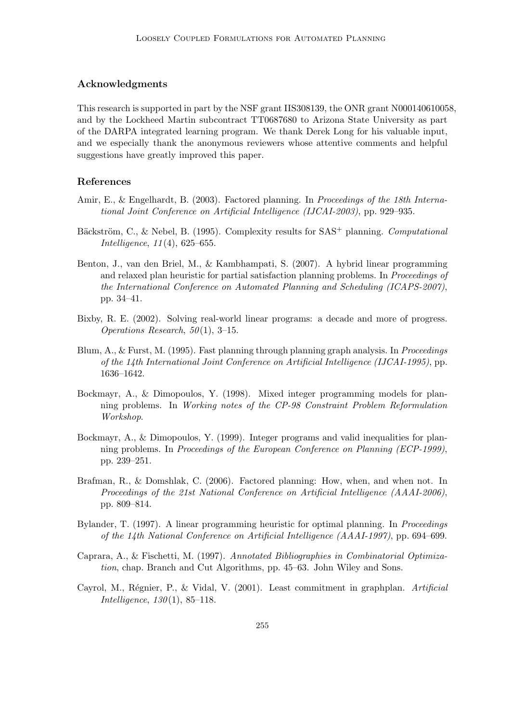# Acknowledgments

This research is supported in part by the NSF grant IIS308139, the ONR grant N000140610058, and by the Lockheed Martin subcontract TT0687680 to Arizona State University as part of the DARPA integrated learning program. We thank Derek Long for his valuable input, and we especially thank the anonymous reviewers whose attentive comments and helpful suggestions have greatly improved this paper.

# References

- Amir, E., & Engelhardt, B. (2003). Factored planning. In Proceedings of the 18th International Joint Conference on Artificial Intelligence (IJCAI-2003), pp. 929–935.
- Bäckström, C., & Nebel, B. (1995). Complexity results for SAS<sup>+</sup> planning. Computational Intelligence, 11(4), 625–655.
- Benton, J., van den Briel, M., & Kambhampati, S. (2007). A hybrid linear programming and relaxed plan heuristic for partial satisfaction planning problems. In Proceedings of the International Conference on Automated Planning and Scheduling (ICAPS-2007), pp. 34–41.
- Bixby, R. E. (2002). Solving real-world linear programs: a decade and more of progress. Operations Research, 50(1), 3–15.
- Blum, A., & Furst, M. (1995). Fast planning through planning graph analysis. In *Proceedings* of the 14th International Joint Conference on Artificial Intelligence (IJCAI-1995), pp. 1636–1642.
- Bockmayr, A., & Dimopoulos, Y. (1998). Mixed integer programming models for planning problems. In Working notes of the CP-98 Constraint Problem Reformulation Workshop.
- Bockmayr, A., & Dimopoulos, Y. (1999). Integer programs and valid inequalities for planning problems. In Proceedings of the European Conference on Planning (ECP-1999), pp. 239–251.
- Brafman, R., & Domshlak, C. (2006). Factored planning: How, when, and when not. In Proceedings of the 21st National Conference on Artificial Intelligence (AAAI-2006), pp. 809–814.
- Bylander, T. (1997). A linear programming heuristic for optimal planning. In *Proceedings* of the 14th National Conference on Artificial Intelligence (AAAI-1997), pp. 694–699.
- Caprara, A., & Fischetti, M. (1997). Annotated Bibliographies in Combinatorial Optimization, chap. Branch and Cut Algorithms, pp. 45–63. John Wiley and Sons.
- Cayrol, M., Régnier, P., & Vidal, V. (2001). Least commitment in graphplan. Artificial Intelligence, 130(1), 85–118.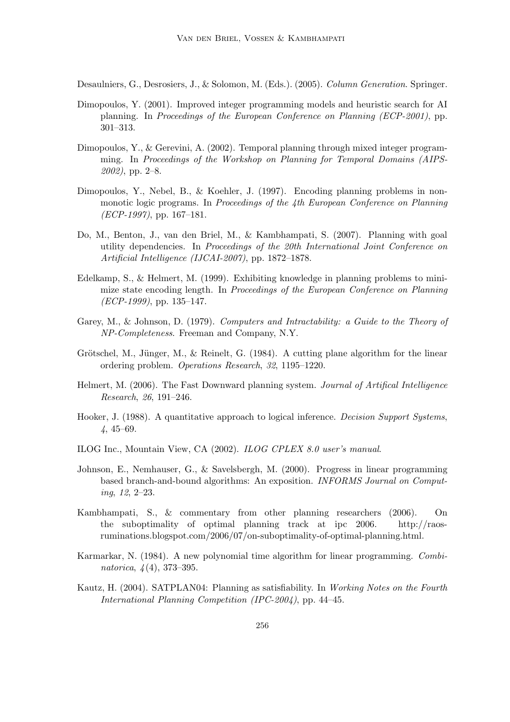Desaulniers, G., Desrosiers, J., & Solomon, M. (Eds.). (2005). Column Generation. Springer.

- Dimopoulos, Y. (2001). Improved integer programming models and heuristic search for AI planning. In Proceedings of the European Conference on Planning (ECP-2001), pp. 301–313.
- Dimopoulos, Y., & Gerevini, A. (2002). Temporal planning through mixed integer programming. In Proceedings of the Workshop on Planning for Temporal Domains (AIPS-2002), pp. 2–8.
- Dimopoulos, Y., Nebel, B., & Koehler, J. (1997). Encoding planning problems in nonmonotic logic programs. In Proceedings of the 4th European Conference on Planning  $(ECP-1997)$ , pp. 167–181.
- Do, M., Benton, J., van den Briel, M., & Kambhampati, S. (2007). Planning with goal utility dependencies. In Proceedings of the 20th International Joint Conference on Artificial Intelligence (IJCAI-2007), pp. 1872–1878.
- Edelkamp, S., & Helmert, M. (1999). Exhibiting knowledge in planning problems to minimize state encoding length. In Proceedings of the European Conference on Planning  $(ECP-1999)$ , pp. 135–147.
- Garey, M., & Johnson, D. (1979). Computers and Intractability: a Guide to the Theory of NP-Completeness. Freeman and Company, N.Y.
- Grötschel, M., Jünger, M., & Reinelt, G. (1984). A cutting plane algorithm for the linear ordering problem. Operations Research, 32, 1195–1220.
- Helmert, M. (2006). The Fast Downward planning system. Journal of Artifical Intelligence Research, 26, 191–246.
- Hooker, J. (1988). A quantitative approach to logical inference. Decision Support Systems, 4, 45–69.
- ILOG Inc., Mountain View, CA (2002). ILOG CPLEX 8.0 user's manual.
- Johnson, E., Nemhauser, G., & Savelsbergh, M. (2000). Progress in linear programming based branch-and-bound algorithms: An exposition. INFORMS Journal on Computing, 12, 2–23.
- Kambhampati, S., & commentary from other planning researchers (2006). On the suboptimality of optimal planning track at ipc 2006. http://raosruminations.blogspot.com/2006/07/on-suboptimality-of-optimal-planning.html.
- Karmarkar, N. (1984). A new polynomial time algorithm for linear programming. Combinatorica, 4(4), 373–395.
- Kautz, H. (2004). SATPLAN04: Planning as satisfiability. In Working Notes on the Fourth International Planning Competition (IPC-2004), pp. 44–45.